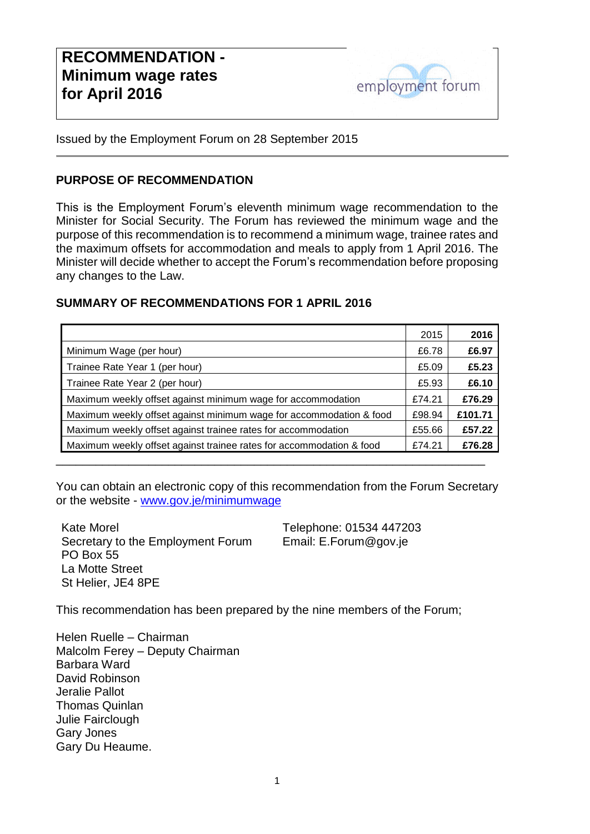

Issued by the Employment Forum on 28 September 2015

#### **PURPOSE OF RECOMMENDATION**

This is the Employment Forum's eleventh minimum wage recommendation to the Minister for Social Security. The Forum has reviewed the minimum wage and the purpose of this recommendation is to recommend a minimum wage, trainee rates and the maximum offsets for accommodation and meals to apply from 1 April 2016. The Minister will decide whether to accept the Forum's recommendation before proposing any changes to the Law.

#### **SUMMARY OF RECOMMENDATIONS FOR 1 APRIL 2016**

|                                                                      | 2015   | 2016    |
|----------------------------------------------------------------------|--------|---------|
| Minimum Wage (per hour)                                              | £6.78  | £6.97   |
| Trainee Rate Year 1 (per hour)                                       | £5.09  | £5.23   |
| Trainee Rate Year 2 (per hour)                                       | £5.93  | £6.10   |
| Maximum weekly offset against minimum wage for accommodation         | £74.21 | £76.29  |
| Maximum weekly offset against minimum wage for accommodation & food  | £98.94 | £101.71 |
| Maximum weekly offset against trainee rates for accommodation        | £55.66 | £57.22  |
| Maximum weekly offset against trainee rates for accommodation & food | £74.21 | £76.28  |
|                                                                      |        |         |

You can obtain an electronic copy of this recommendation from the Forum Secretary or the website - [www.gov.je/minimumwage](http://www.gov.je/minimumwage) 

Kate Morel Secretary to the Employment Forum PO Box 55 La Motte Street St Helier, JE4 8PE

Telephone: 01534 447203 Email: E.Forum@gov.je

This recommendation has been prepared by the nine members of the Forum;

Helen Ruelle – Chairman Malcolm Ferey – Deputy Chairman Barbara Ward David Robinson Jeralie Pallot Thomas Quinlan Julie Fairclough Gary Jones Gary Du Heaume.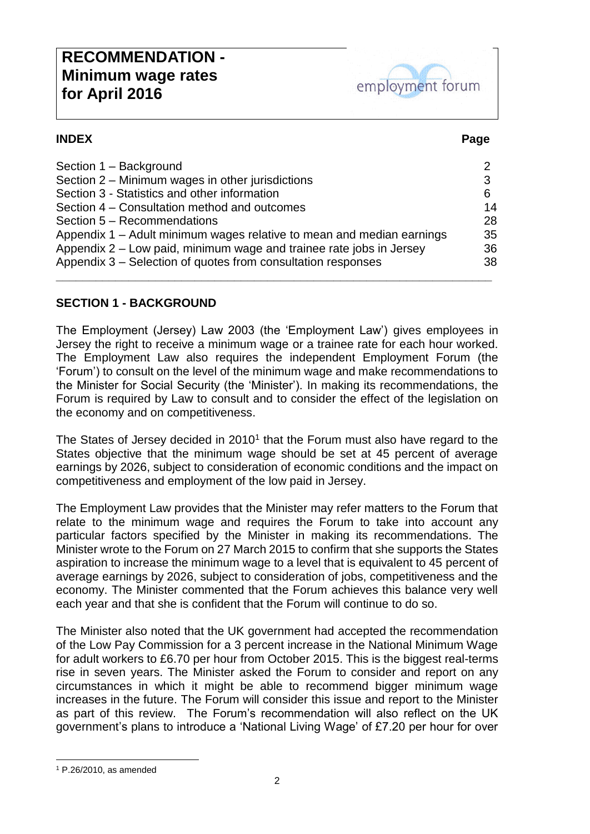# **RECOMMENDATION - Minimum wage rates for April 2016**



#### **INDEX Page**

| Section 1 - Background                                                |    |
|-----------------------------------------------------------------------|----|
| Section 2 – Minimum wages in other jurisdictions                      | 3  |
| Section 3 - Statistics and other information                          | 6  |
| Section 4 – Consultation method and outcomes                          | 14 |
| Section 5 - Recommendations                                           | 28 |
| Appendix 1 – Adult minimum wages relative to mean and median earnings | 35 |
| Appendix 2 – Low paid, minimum wage and trainee rate jobs in Jersey   | 36 |
| Appendix 3 – Selection of quotes from consultation responses          | 38 |
|                                                                       |    |

#### **SECTION 1 - BACKGROUND**

The Employment (Jersey) Law 2003 (the 'Employment Law') gives employees in Jersey the right to receive a minimum wage or a trainee rate for each hour worked. The Employment Law also requires the independent Employment Forum (the 'Forum') to consult on the level of the minimum wage and make recommendations to the Minister for Social Security (the 'Minister'). In making its recommendations, the Forum is required by Law to consult and to consider the effect of the legislation on the economy and on competitiveness.

The States of Jersey decided in  $2010<sup>1</sup>$  that the Forum must also have regard to the States objective that the minimum wage should be set at 45 percent of average earnings by 2026, subject to consideration of economic conditions and the impact on competitiveness and employment of the low paid in Jersey.

The Employment Law provides that the Minister may refer matters to the Forum that relate to the minimum wage and requires the Forum to take into account any particular factors specified by the Minister in making its recommendations. The Minister wrote to the Forum on 27 March 2015 to confirm that she supports the States aspiration to increase the minimum wage to a level that is equivalent to 45 percent of average earnings by 2026, subject to consideration of jobs, competitiveness and the economy. The Minister commented that the Forum achieves this balance very well each year and that she is confident that the Forum will continue to do so.

The Minister also noted that the UK government had accepted the recommendation of the Low Pay Commission for a 3 percent increase in the National Minimum Wage for adult workers to £6.70 per hour from October 2015. This is the biggest real-terms rise in seven years. The Minister asked the Forum to consider and report on any circumstances in which it might be able to recommend bigger minimum wage increases in the future. The Forum will consider this issue and report to the Minister as part of this review. The Forum's recommendation will also reflect on the UK government's plans to introduce a 'National Living Wage' of £7.20 per hour for over

-

<sup>1</sup> P.26/2010, as amended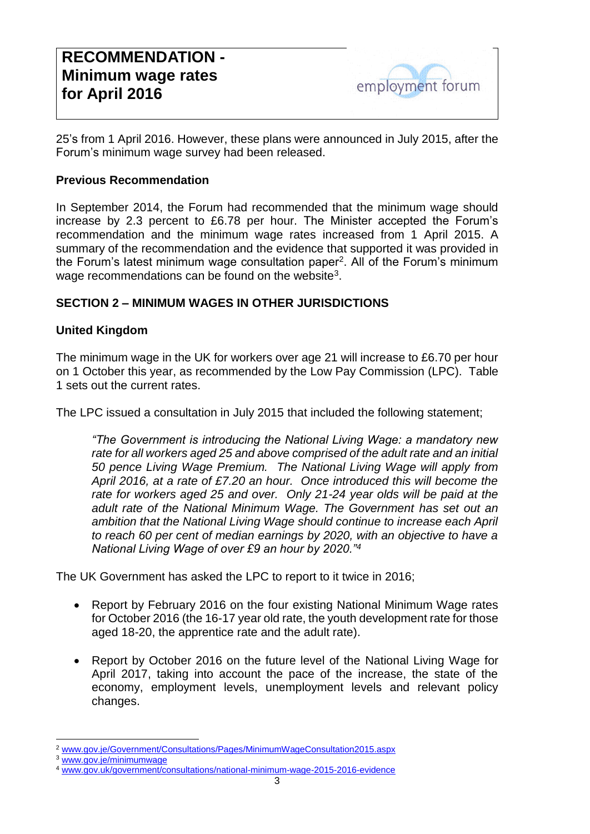25's from 1 April 2016. However, these plans were announced in July 2015, after the Forum's minimum wage survey had been released.

#### **Previous Recommendation**

In September 2014, the Forum had recommended that the minimum wage should increase by 2.3 percent to £6.78 per hour. The Minister accepted the Forum's recommendation and the minimum wage rates increased from 1 April 2015. A summary of the recommendation and the evidence that supported it was provided in the Forum's latest minimum wage consultation paper<sup>2</sup>. All of the Forum's minimum wage recommendations can be found on the website<sup>3</sup>.

#### **SECTION 2 – MINIMUM WAGES IN OTHER JURISDICTIONS**

#### **United Kingdom**

The minimum wage in the UK for workers over age 21 will increase to £6.70 per hour on 1 October this year, as recommended by the Low Pay Commission (LPC). Table 1 sets out the current rates.

The LPC issued a consultation in July 2015 that included the following statement;

*"The Government is introducing the National Living Wage: a mandatory new rate for all workers aged 25 and above comprised of the adult rate and an initial 50 pence Living Wage Premium. The National Living Wage will apply from April 2016, at a rate of £7.20 an hour. Once introduced this will become the rate for workers aged 25 and over. Only 21-24 year olds will be paid at the adult rate of the National Minimum Wage. The Government has set out an ambition that the National Living Wage should continue to increase each April to reach 60 per cent of median earnings by 2020, with an objective to have a National Living Wage of over £9 an hour by 2020."<sup>4</sup>*

The UK Government has asked the LPC to report to it twice in 2016;

- Report by February 2016 on the four existing National Minimum Wage rates for October 2016 (the 16-17 year old rate, the youth development rate for those aged 18-20, the apprentice rate and the adult rate).
- Report by October 2016 on the future level of the National Living Wage for April 2017, taking into account the pace of the increase, the state of the economy, employment levels, unemployment levels and relevant policy changes.

<sup>-</sup><sup>2</sup> [www.gov.je/Government/Consultations/Pages/MinimumWageConsultation2015.aspx](http://www.gov.je/Government/Consultations/Pages/MinimumWageConsultation2015.aspx)

[www.gov.je/minimumwage](http://www.gov.je/minimumwage)

<sup>4</sup> [www.gov.uk/government/consultations/national-minimum-wage-2015-2016-evidence](http://www.gov.uk/government/consultations/national-minimum-wage-2015-2016-evidence)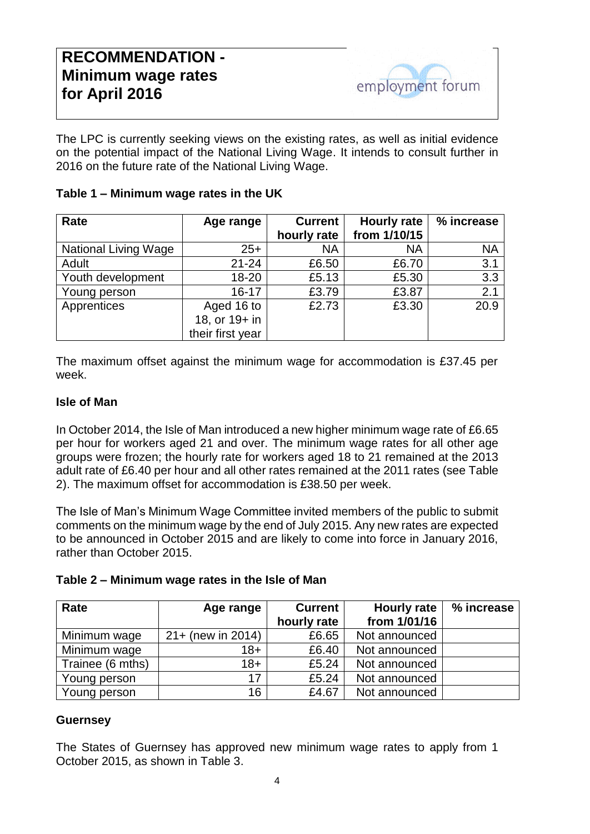The LPC is currently seeking views on the existing rates, as well as initial evidence on the potential impact of the National Living Wage. It intends to consult further in 2016 on the future rate of the National Living Wage.

| Table 1 - Minimum wage rates in the UK |
|----------------------------------------|
|----------------------------------------|

| Rate                        | Age range        | <b>Current</b> | <b>Hourly rate</b> | % increase |
|-----------------------------|------------------|----------------|--------------------|------------|
|                             |                  | hourly rate    | from 1/10/15       |            |
| <b>National Living Wage</b> | $25+$            | <b>NA</b>      | <b>NA</b>          | <b>NA</b>  |
| Adult                       | $21 - 24$        | £6.50          | £6.70              | 3.1        |
| Youth development           | $18 - 20$        | £5.13          | £5.30              | 3.3        |
| Young person                | $16 - 17$        | £3.79          | £3.87              | 2.1        |
| Apprentices                 | Aged 16 to       | £2.73          | £3.30              | 20.9       |
|                             | 18, or 19+ in    |                |                    |            |
|                             | their first year |                |                    |            |

The maximum offset against the minimum wage for accommodation is £37.45 per week.

#### **Isle of Man**

In October 2014, the Isle of Man introduced a new higher minimum wage rate of £6.65 per hour for workers aged 21 and over. The minimum wage rates for all other age groups were frozen; the hourly rate for workers aged 18 to 21 remained at the 2013 adult rate of £6.40 per hour and all other rates remained at the 2011 rates (see Table 2). The maximum offset for accommodation is £38.50 per week.

The Isle of Man's Minimum Wage Committee invited members of the public to submit comments on the minimum wage by the end of July 2015. Any new rates are expected to be announced in October 2015 and are likely to come into force in January 2016, rather than October 2015.

| Table 2 - Minimum wage rates in the Isle of Man |  |
|-------------------------------------------------|--|
|-------------------------------------------------|--|

| Rate             | Age range            | <b>Current</b> | <b>Hourly rate</b> | % increase |
|------------------|----------------------|----------------|--------------------|------------|
|                  |                      | hourly rate    | from 1/01/16       |            |
| Minimum wage     | $21 + (new in 2014)$ | £6.65          | Not announced      |            |
| Minimum wage     | 18+                  | £6.40          | Not announced      |            |
| Trainee (6 mths) | $18 +$               | £5.24          | Not announced      |            |
| Young person     | 17                   | £5.24          | Not announced      |            |
| Young person     | 16                   | £4.67          | Not announced      |            |

#### **Guernsey**

The States of Guernsey has approved new minimum wage rates to apply from 1 October 2015, as shown in Table 3.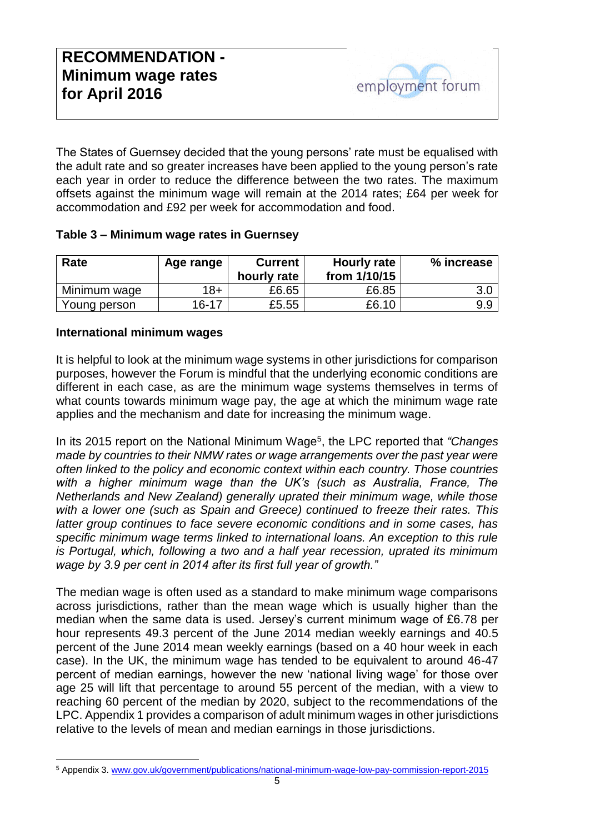The States of Guernsey decided that the young persons' rate must be equalised with the adult rate and so greater increases have been applied to the young person's rate each year in order to reduce the difference between the two rates. The maximum offsets against the minimum wage will remain at the 2014 rates; £64 per week for accommodation and £92 per week for accommodation and food.

#### **Table 3 – Minimum wage rates in Guernsey**

| Rate         | Age range | <b>Current</b><br>hourly rate | Hourly rate<br>from 1/10/15 | % increase |
|--------------|-----------|-------------------------------|-----------------------------|------------|
| Minimum wage | $18 +$    | £6.65                         | £6.85                       | 3.0        |
| Young person | $16 - 17$ | £5.55                         | £6.10                       | 9.9        |

#### **International minimum wages**

It is helpful to look at the minimum wage systems in other jurisdictions for comparison purposes, however the Forum is mindful that the underlying economic conditions are different in each case, as are the minimum wage systems themselves in terms of what counts towards minimum wage pay, the age at which the minimum wage rate applies and the mechanism and date for increasing the minimum wage.

In its 2015 report on the National Minimum Wage<sup>5</sup>, the LPC reported that "Changes *made by countries to their NMW rates or wage arrangements over the past year were often linked to the policy and economic context within each country. Those countries with a higher minimum wage than the UK's (such as Australia, France, The Netherlands and New Zealand) generally uprated their minimum wage, while those with a lower one (such as Spain and Greece) continued to freeze their rates. This latter group continues to face severe economic conditions and in some cases, has specific minimum wage terms linked to international loans. An exception to this rule is Portugal, which, following a two and a half year recession, uprated its minimum wage by 3.9 per cent in 2014 after its first full year of growth."*

The median wage is often used as a standard to make minimum wage comparisons across jurisdictions, rather than the mean wage which is usually higher than the median when the same data is used. Jersey's current minimum wage of £6.78 per hour represents 49.3 percent of the June 2014 median weekly earnings and 40.5 percent of the June 2014 mean weekly earnings (based on a 40 hour week in each case). In the UK, the minimum wage has tended to be equivalent to around 46-47 percent of median earnings, however the new 'national living wage' for those over age 25 will lift that percentage to around 55 percent of the median, with a view to reaching 60 percent of the median by 2020, subject to the recommendations of the LPC. Appendix 1 provides a comparison of adult minimum wages in other jurisdictions relative to the levels of mean and median earnings in those jurisdictions.

<sup>-</sup><sup>5</sup> Appendix 3[. www.gov.uk/government/publications/national-minimum-wage-low-pay-commission-report-2015](http://www.gov.uk/government/publications/national-minimum-wage-low-pay-commission-report-2015)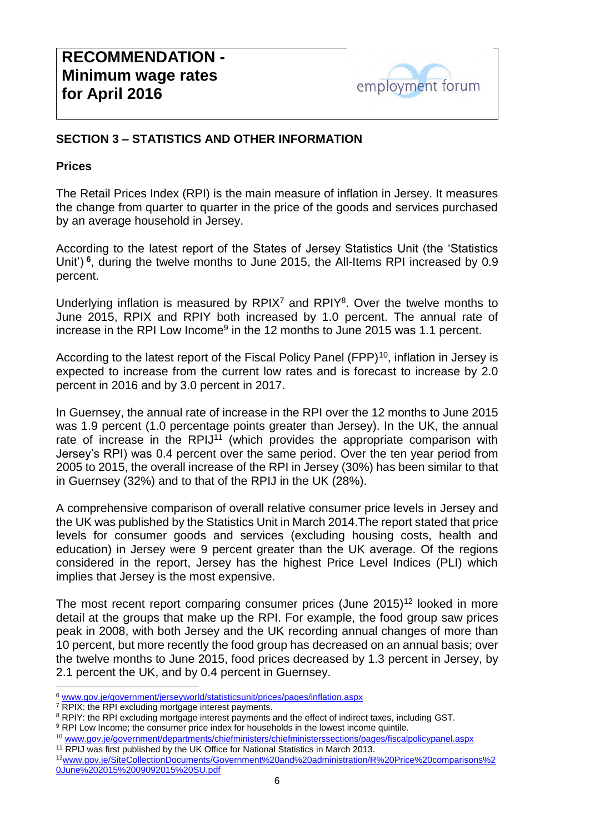

#### **SECTION 3 – STATISTICS AND OTHER INFORMATION**

#### **Prices**

The Retail Prices Index (RPI) is the main measure of inflation in Jersey. It measures the change from quarter to quarter in the price of the goods and services purchased by an average household in Jersey.

According to the latest report of the States of Jersey Statistics Unit (the 'Statistics Unit')<sup>6</sup>, during the twelve months to June 2015, the All-Items RPI increased by 0.9 percent.

Underlying inflation is measured by  $RPIX<sup>7</sup>$  and  $RPIY<sup>8</sup>$ . Over the twelve months to June 2015, RPIX and RPIY both increased by 1.0 percent. The annual rate of increase in the RPI Low Income<sup>9</sup> in the 12 months to June 2015 was 1.1 percent.

According to the latest report of the Fiscal Policy Panel (FPP)<sup>10</sup>, inflation in Jersey is expected to increase from the current low rates and is forecast to increase by 2.0 percent in 2016 and by 3.0 percent in 2017.

In Guernsey, the annual rate of increase in the RPI over the 12 months to June 2015 was 1.9 percent (1.0 percentage points greater than Jersey). In the UK, the annual rate of increase in the RPIJ $11$  (which provides the appropriate comparison with Jersey's RPI) was 0.4 percent over the same period. Over the ten year period from 2005 to 2015, the overall increase of the RPI in Jersey (30%) has been similar to that in Guernsey (32%) and to that of the RPIJ in the UK (28%).

A comprehensive comparison of overall relative consumer price levels in Jersey and the UK was published by the Statistics Unit in March 2014.The report stated that price levels for consumer goods and services (excluding housing costs, health and education) in Jersey were 9 percent greater than the UK average. Of the regions considered in the report, Jersey has the highest Price Level Indices (PLI) which implies that Jersey is the most expensive.

The most recent report comparing consumer prices (June  $2015$ )<sup>12</sup> looked in more detail at the groups that make up the RPI. For example, the food group saw prices peak in 2008, with both Jersey and the UK recording annual changes of more than 10 percent, but more recently the food group has decreased on an annual basis; over the twelve months to June 2015, food prices decreased by 1.3 percent in Jersey, by 2.1 percent the UK, and by 0.4 percent in Guernsey.

<sup>7</sup> RPIX: the RPI excluding mortgage interest payments.

-

<sup>8</sup> RPIY: the RPI excluding mortgage interest payments and the effect of indirect taxes, including GST.

<sup>11</sup> RPIJ was first published by the UK Office for National Statistics in March 2013.

<sup>6</sup> [www.gov.je/government/jerseyworld/statisticsunit/prices/pages/inflation.aspx](http://www.gov.je/government/jerseyworld/statisticsunit/prices/pages/inflation.aspx)

<sup>&</sup>lt;sup>9</sup> RPI Low Income; the consumer price index for households in the lowest income quintile.

<sup>10</sup> [www.gov.je/government/departments/chiefministers/chiefministerssections/pages/fiscalpolicypanel.aspx](http://www.gov.je/government/departments/chiefministers/chiefministerssections/pages/fiscalpolicypanel.aspx)

<sup>12</sup>[www.gov.je/SiteCollectionDocuments/Government%20and%20administration/R%20Price%20comparisons%2](http://www.gov.je/SiteCollectionDocuments/Government%20and%20administration/R%20Price%20comparisons%20June%202015%2009092015%20SU.pdf) [0June%202015%2009092015%20SU.pdf](http://www.gov.je/SiteCollectionDocuments/Government%20and%20administration/R%20Price%20comparisons%20June%202015%2009092015%20SU.pdf)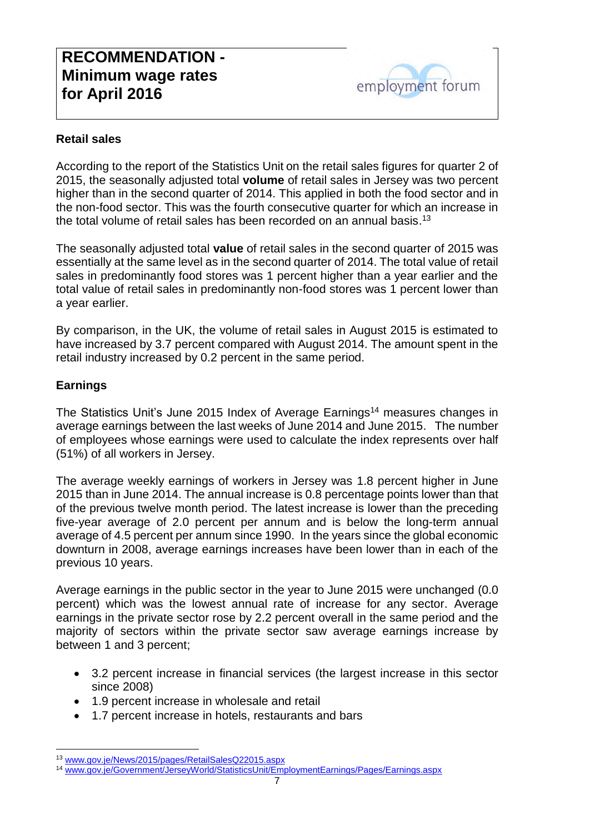#### **Retail sales**

According to the report of the Statistics Unit on the retail sales figures for quarter 2 of 2015, the seasonally adjusted total **volume** of retail sales in Jersey was two percent higher than in the second quarter of 2014. This applied in both the food sector and in the non-food sector. This was the fourth consecutive quarter for which an increase in the total volume of retail sales has been recorded on an annual basis.<sup>13</sup>

The seasonally adjusted total **value** of retail sales in the second quarter of 2015 was essentially at the same level as in the second quarter of 2014. The total value of retail sales in predominantly food stores was 1 percent higher than a year earlier and the total value of retail sales in predominantly non-food stores was 1 percent lower than a year earlier.

By comparison, in the UK, the volume of retail sales in August 2015 is estimated to have increased by 3.7 percent compared with August 2014. The amount spent in the retail industry increased by 0.2 percent in the same period.

#### **Earnings**

1

The Statistics Unit's June 2015 Index of Average Earnings<sup>14</sup> measures changes in average earnings between the last weeks of June 2014 and June 2015. The number of employees whose earnings were used to calculate the index represents over half (51%) of all workers in Jersey.

The average weekly earnings of workers in Jersey was 1.8 percent higher in June 2015 than in June 2014. The annual increase is 0.8 percentage points lower than that of the previous twelve month period. The latest increase is lower than the preceding five-year average of 2.0 percent per annum and is below the long-term annual average of 4.5 percent per annum since 1990. In the years since the global economic downturn in 2008, average earnings increases have been lower than in each of the previous 10 years.

Average earnings in the public sector in the year to June 2015 were unchanged (0.0 percent) which was the lowest annual rate of increase for any sector. Average earnings in the private sector rose by 2.2 percent overall in the same period and the majority of sectors within the private sector saw average earnings increase by between 1 and 3 percent;

- 3.2 percent increase in financial services (the largest increase in this sector since 2008)
- 1.9 percent increase in wholesale and retail
- 1.7 percent increase in hotels, restaurants and bars

<sup>13</sup> [www.gov.je/News/2015/pages/RetailSalesQ22015.aspx](http://www.gov.je/News/2015/pages/RetailSalesQ22015.aspx)

<sup>14</sup> [www.gov.je/Government/JerseyWorld/StatisticsUnit/EmploymentEarnings/Pages/Earnings.aspx](http://www.gov.je/Government/JerseyWorld/StatisticsUnit/EmploymentEarnings/Pages/Earnings.aspx)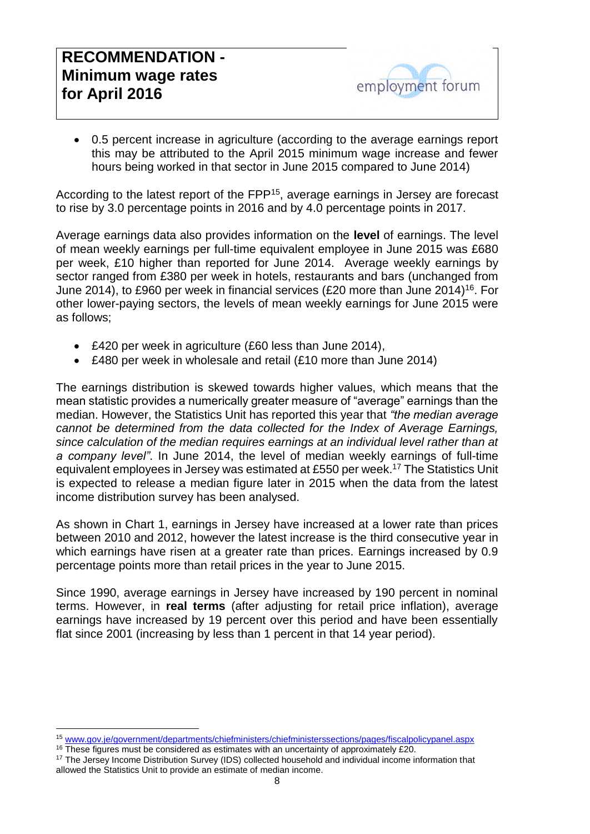# **RECOMMENDATION - Minimum wage rates for April 2016**

 0.5 percent increase in agriculture (according to the average earnings report this may be attributed to the April 2015 minimum wage increase and fewer hours being worked in that sector in June 2015 compared to June 2014)

According to the latest report of the FPP<sup>15</sup>, average earnings in Jersey are forecast to rise by 3.0 percentage points in 2016 and by 4.0 percentage points in 2017.

Average earnings data also provides information on the **level** of earnings. The level of mean weekly earnings per full-time equivalent employee in June 2015 was £680 per week, £10 higher than reported for June 2014. Average weekly earnings by sector ranged from £380 per week in hotels, restaurants and bars (unchanged from June 2014), to £960 per week in financial services (£20 more than June 2014)<sup>16</sup>. For other lower-paying sectors, the levels of mean weekly earnings for June 2015 were as follows;

- £420 per week in agriculture (£60 less than June 2014),
- £480 per week in wholesale and retail (£10 more than June 2014)

The earnings distribution is skewed towards higher values, which means that the mean statistic provides a numerically greater measure of "average" earnings than the median. However, the Statistics Unit has reported this year that *"the median average cannot be determined from the data collected for the Index of Average Earnings, since calculation of the median requires earnings at an individual level rather than at a company level"*. In June 2014, the level of median weekly earnings of full-time equivalent employees in Jersey was estimated at £550 per week. <sup>17</sup> The Statistics Unit is expected to release a median figure later in 2015 when the data from the latest income distribution survey has been analysed.

As shown in Chart 1, earnings in Jersey have increased at a lower rate than prices between 2010 and 2012, however the latest increase is the third consecutive year in which earnings have risen at a greater rate than prices. Earnings increased by 0.9 percentage points more than retail prices in the year to June 2015.

Since 1990, average earnings in Jersey have increased by 190 percent in nominal terms. However, in **real terms** (after adjusting for retail price inflation), average earnings have increased by 19 percent over this period and have been essentially flat since 2001 (increasing by less than 1 percent in that 14 year period).

<sup>1</sup> <sup>15</sup> [www.gov.je/government/departments/chiefministers/chiefministerssections/pages/fiscalpolicypanel.aspx](http://www.gov.je/government/departments/chiefministers/chiefministerssections/pages/fiscalpolicypanel.aspx)

<sup>&</sup>lt;sup>16</sup> These figures must be considered as estimates with an uncertainty of approximately £20.

<sup>&</sup>lt;sup>17</sup> The Jersey Income Distribution Survey (IDS) collected household and individual income information that allowed the Statistics Unit to provide an estimate of median income.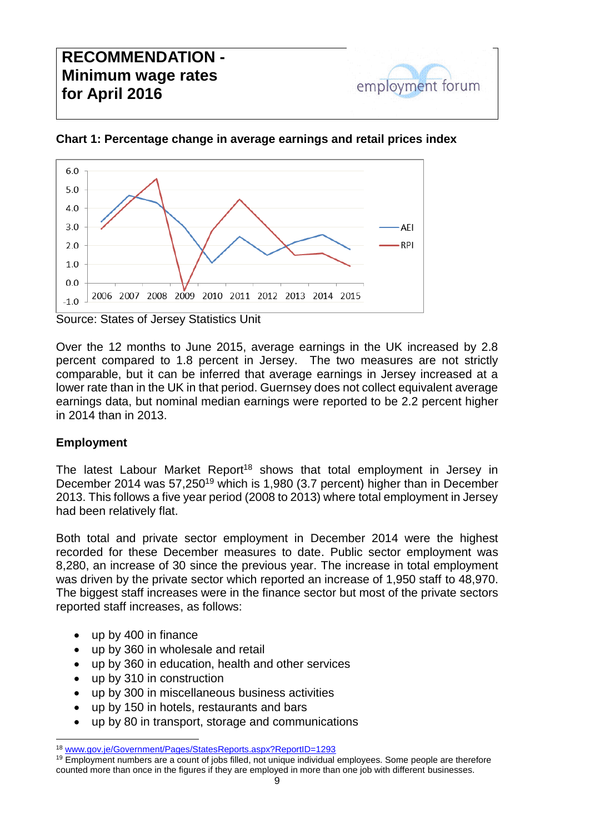# **RECOMMENDATION - Minimum wage rates for April 2016**



#### **Chart 1: Percentage change in average earnings and retail prices index**

employment forum

Source: States of Jersey Statistics Unit

Over the 12 months to June 2015, average earnings in the UK increased by 2.8 percent compared to 1.8 percent in Jersey. The two measures are not strictly comparable, but it can be inferred that average earnings in Jersey increased at a lower rate than in the UK in that period. Guernsey does not collect equivalent average earnings data, but nominal median earnings were reported to be 2.2 percent higher in 2014 than in 2013.

#### **Employment**

The latest Labour Market Report<sup>18</sup> shows that total employment in Jersey in December 2014 was 57,250<sup>19</sup> which is 1,980 (3.7 percent) higher than in December 2013. This follows a five year period (2008 to 2013) where total employment in Jersey had been relatively flat.

Both total and private sector employment in December 2014 were the highest recorded for these December measures to date. Public sector employment was 8,280, an increase of 30 since the previous year. The increase in total employment was driven by the private sector which reported an increase of 1,950 staff to 48,970. The biggest staff increases were in the finance sector but most of the private sectors reported staff increases, as follows:

- up by 400 in finance
- up by 360 in wholesale and retail
- up by 360 in education, health and other services
- up by 310 in construction
- up by 300 in miscellaneous business activities
- up by 150 in hotels, restaurants and bars
- up by 80 in transport, storage and communications

<sup>-</sup><sup>18</sup> [www.gov.je/Government/Pages/StatesReports.aspx?ReportID=1293](http://www.gov.je/Government/Pages/StatesReports.aspx?ReportID=1293)

<sup>19</sup> Employment numbers are a count of jobs filled, not unique individual employees. Some people are therefore counted more than once in the figures if they are employed in more than one job with different businesses.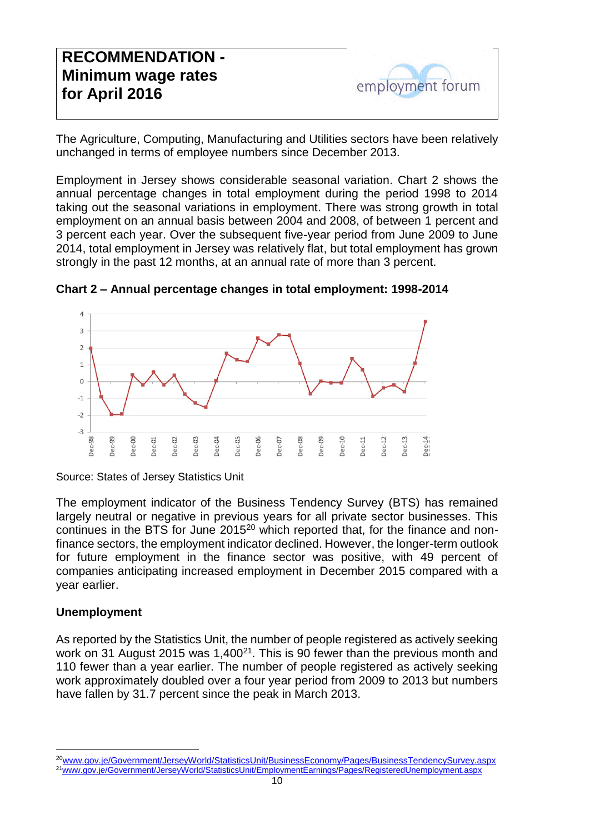The Agriculture, Computing, Manufacturing and Utilities sectors have been relatively unchanged in terms of employee numbers since December 2013.

Employment in Jersey shows considerable seasonal variation. Chart 2 shows the annual percentage changes in total employment during the period 1998 to 2014 taking out the seasonal variations in employment. There was strong growth in total employment on an annual basis between 2004 and 2008, of between 1 percent and 3 percent each year. Over the subsequent five-year period from June 2009 to June 2014, total employment in Jersey was relatively flat, but total employment has grown strongly in the past 12 months, at an annual rate of more than 3 percent.



**Chart 2 – Annual percentage changes in total employment: 1998-2014**

Source: States of Jersey Statistics Unit

The employment indicator of the Business Tendency Survey (BTS) has remained largely neutral or negative in previous years for all private sector businesses. This continues in the BTS for June 2015<sup>20</sup> which reported that, for the finance and nonfinance sectors, the employment indicator declined. However, the longer-term outlook for future employment in the finance sector was positive, with 49 percent of companies anticipating increased employment in December 2015 compared with a year earlier.

#### **Unemployment**

-

As reported by the Statistics Unit, the number of people registered as actively seeking work on 31 August 2015 was 1,400<sup>21</sup>. This is 90 fewer than the previous month and 110 fewer than a year earlier. The number of people registered as actively seeking work approximately doubled over a four year period from 2009 to 2013 but numbers have fallen by 31.7 percent since the peak in March 2013.

<sup>20</sup>[www.gov.je/Government/JerseyWorld/StatisticsUnit/BusinessEconomy/Pages/BusinessTendencySurvey.aspx](http://www.gov.je/Government/JerseyWorld/StatisticsUnit/BusinessEconomy/Pages/BusinessTendencySurvey.aspx)

<sup>21</sup>[www.gov.je/Government/JerseyWorld/StatisticsUnit/EmploymentEarnings/Pages/RegisteredUnemployment.aspx](http://www.gov.je/Government/JerseyWorld/StatisticsUnit/EmploymentEarnings/Pages/RegisteredUnemployment.aspx)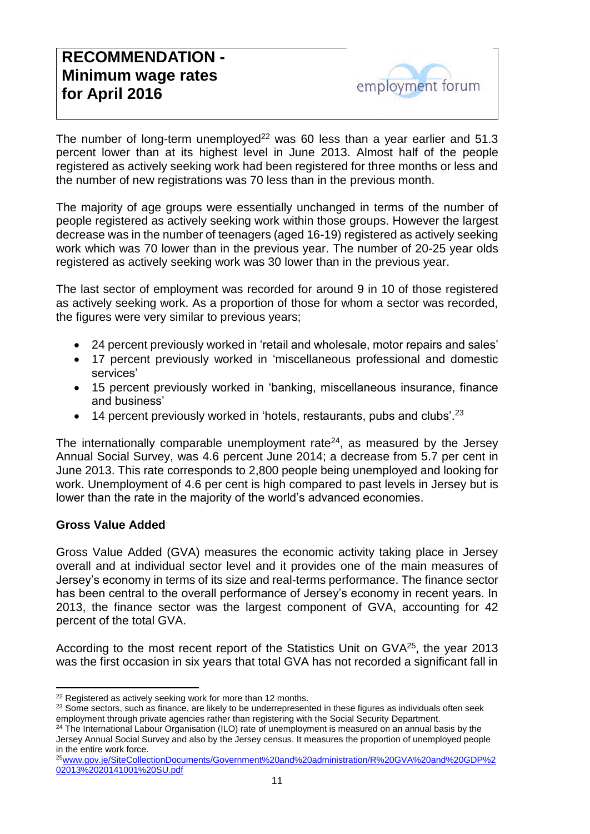The number of long-term unemployed<sup>22</sup> was 60 less than a year earlier and 51.3 percent lower than at its highest level in June 2013. Almost half of the people registered as actively seeking work had been registered for three months or less and the number of new registrations was 70 less than in the previous month.

The majority of age groups were essentially unchanged in terms of the number of people registered as actively seeking work within those groups. However the largest decrease was in the number of teenagers (aged 16-19) registered as actively seeking work which was 70 lower than in the previous year. The number of 20-25 year olds registered as actively seeking work was 30 lower than in the previous year.

The last sector of employment was recorded for around 9 in 10 of those registered as actively seeking work. As a proportion of those for whom a sector was recorded, the figures were very similar to previous years;

- 24 percent previously worked in 'retail and wholesale, motor repairs and sales'
- 17 percent previously worked in 'miscellaneous professional and domestic services'
- 15 percent previously worked in 'banking, miscellaneous insurance, finance and business'
- $\bullet$  14 percent previously worked in 'hotels, restaurants, pubs and clubs'.<sup>23</sup>

The internationally comparable unemployment rate<sup>24</sup>, as measured by the Jersey Annual Social Survey, was 4.6 percent June 2014; a decrease from 5.7 per cent in June 2013. This rate corresponds to 2,800 people being unemployed and looking for work. Unemployment of 4.6 per cent is high compared to past levels in Jersey but is lower than the rate in the majority of the world's advanced economies.

#### **Gross Value Added**

Gross Value Added (GVA) measures the economic activity taking place in Jersey overall and at individual sector level and it provides one of the main measures of Jersey's economy in terms of its size and real-terms performance. The finance sector has been central to the overall performance of Jersey's economy in recent years. In 2013, the finance sector was the largest component of GVA, accounting for 42 percent of the total GVA.

According to the most recent report of the Statistics Unit on GVA<sup>25</sup>, the year 2013 was the first occasion in six years that total GVA has not recorded a significant fall in

<sup>-</sup><sup>22</sup> Registered as actively seeking work for more than 12 months.

<sup>&</sup>lt;sup>23</sup> Some sectors, such as finance, are likely to be underrepresented in these figures as individuals often seek employment through private agencies rather than registering with the Social Security Department.

<sup>&</sup>lt;sup>24</sup> The International Labour Organisation (ILO) rate of unemployment is measured on an annual basis by the Jersey Annual Social Survey and also by the Jersey census. It measures the proportion of unemployed people in the entire work force.

<sup>25</sup>[www.gov.je/SiteCollectionDocuments/Government%20and%20administration/R%20GVA%20and%20GDP%2](http://www.gov.je/SiteCollectionDocuments/Government%20and%20administration/R%20GVA%20and%20GDP%202013%2020141001%20SU.pdf) [02013%2020141001%20SU.pdf](http://www.gov.je/SiteCollectionDocuments/Government%20and%20administration/R%20GVA%20and%20GDP%202013%2020141001%20SU.pdf)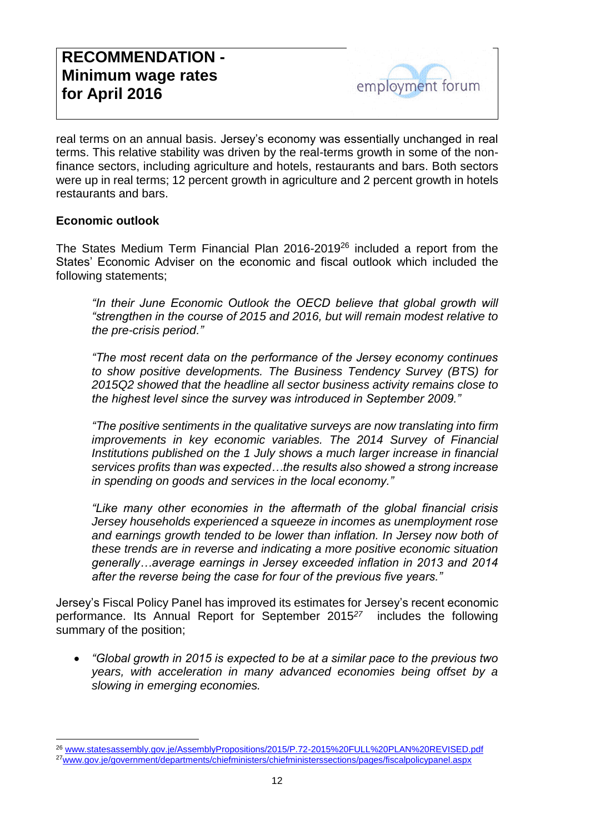real terms on an annual basis. Jersey's economy was essentially unchanged in real terms. This relative stability was driven by the real-terms growth in some of the nonfinance sectors, including agriculture and hotels, restaurants and bars. Both sectors were up in real terms; 12 percent growth in agriculture and 2 percent growth in hotels restaurants and bars.

#### **Economic outlook**

The States Medium Term Financial Plan 2016-2019<sup>26</sup> included a report from the States' Economic Adviser on the economic and fiscal outlook which included the following statements;

*"In their June Economic Outlook the OECD believe that global growth will "strengthen in the course of 2015 and 2016, but will remain modest relative to the pre-crisis period."*

*"The most recent data on the performance of the Jersey economy continues to show positive developments. The Business Tendency Survey (BTS) for 2015Q2 showed that the headline all sector business activity remains close to the highest level since the survey was introduced in September 2009."*

*"The positive sentiments in the qualitative surveys are now translating into firm improvements in key economic variables. The 2014 Survey of Financial Institutions published on the 1 July shows a much larger increase in financial services profits than was expected…the results also showed a strong increase in spending on goods and services in the local economy."*

*"Like many other economies in the aftermath of the global financial crisis Jersey households experienced a squeeze in incomes as unemployment rose*  and earnings growth tended to be lower than inflation. In Jersey now both of *these trends are in reverse and indicating a more positive economic situation generally…average earnings in Jersey exceeded inflation in 2013 and 2014 after the reverse being the case for four of the previous five years."* 

Jersey's Fiscal Policy Panel has improved its estimates for Jersey's recent economic performance. Its Annual Report for September 2015*<sup>27</sup>* includes the following summary of the position;

 *"Global growth in 2015 is expected to be at a similar pace to the previous two years, with acceleration in many advanced economies being offset by a slowing in emerging economies.* 

<sup>26</sup> [www.statesassembly.gov.je/AssemblyPropositions/2015/P.72-2015%20FULL%20PLAN%20REVISED.pdf](http://www.statesassembly.gov.je/AssemblyPropositions/2015/P.72-2015%20FULL%20PLAN%20REVISED.pdf) 27[www.gov.je/government/departments/chiefministers/chiefministerssections/pages/fiscalpolicypanel.aspx](http://www.gov.je/government/departments/chiefministers/chiefministerssections/pages/fiscalpolicypanel.aspx)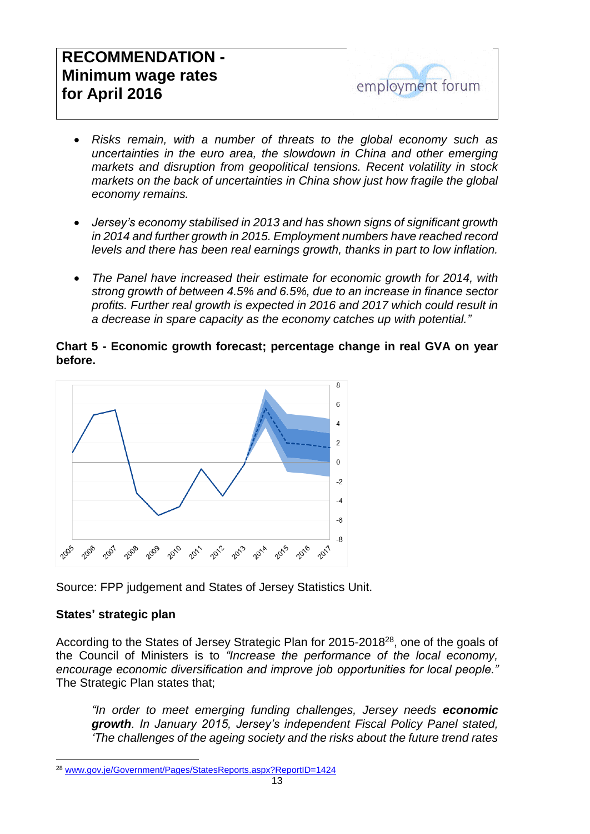# **RECOMMENDATION - Minimum wage rates for April 2016**



- *Risks remain, with a number of threats to the global economy such as uncertainties in the euro area, the slowdown in China and other emerging markets and disruption from geopolitical tensions. Recent volatility in stock markets on the back of uncertainties in China show just how fragile the global economy remains.*
- *Jersey's economy stabilised in 2013 and has shown signs of significant growth in 2014 and further growth in 2015. Employment numbers have reached record levels and there has been real earnings growth, thanks in part to low inflation.*
- *The Panel have increased their estimate for economic growth for 2014, with strong growth of between 4.5% and 6.5%, due to an increase in finance sector profits. Further real growth is expected in 2016 and 2017 which could result in a decrease in spare capacity as the economy catches up with potential."*

#### **Chart 5 - Economic growth forecast; percentage change in real GVA on year before.**



Source: FPP judgement and States of Jersey Statistics Unit.

#### **States' strategic plan**

-

According to the States of Jersey Strategic Plan for 2015-2018<sup>28</sup>, one of the goals of the Council of Ministers is to *"Increase the performance of the local economy, encourage economic diversification and improve job opportunities for local people."* The Strategic Plan states that;

*"In order to meet emerging funding challenges, Jersey needs economic growth. In January 2015, Jersey's independent Fiscal Policy Panel stated, 'The challenges of the ageing society and the risks about the future trend rates* 

<sup>28</sup> [www.gov.je/Government/Pages/StatesReports.aspx?ReportID=1424](http://www.gov.je/Government/Pages/StatesReports.aspx?ReportID=1424)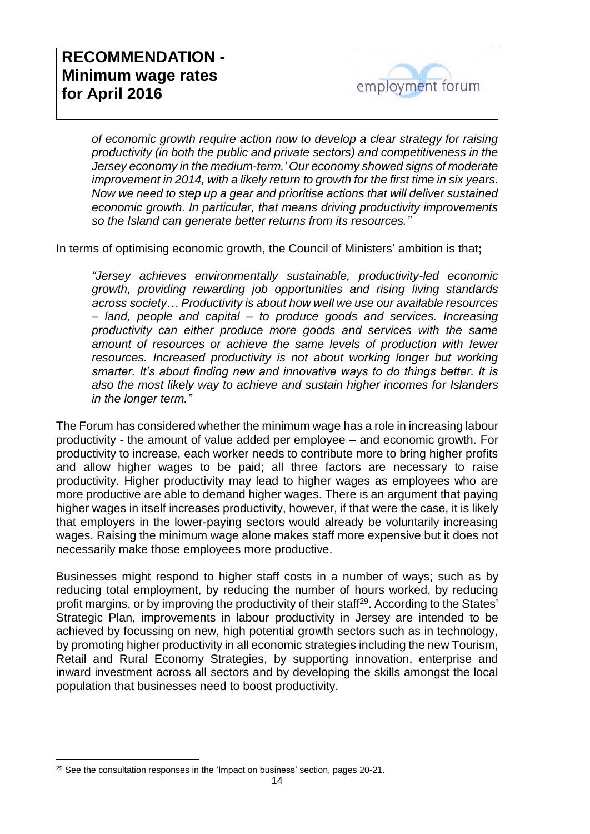*of economic growth require action now to develop a clear strategy for raising productivity (in both the public and private sectors) and competitiveness in the Jersey economy in the medium-term.' Our economy showed signs of moderate improvement in 2014, with a likely return to growth for the first time in six years. Now we need to step up a gear and prioritise actions that will deliver sustained economic growth. In particular, that means driving productivity improvements so the Island can generate better returns from its resources."*

In terms of optimising economic growth, the Council of Ministers' ambition is that**;**

*"Jersey achieves environmentally sustainable, productivity-led economic growth, providing rewarding job opportunities and rising living standards across society… Productivity is about how well we use our available resources – land, people and capital – to produce goods and services. Increasing productivity can either produce more goods and services with the same amount of resources or achieve the same levels of production with fewer resources. Increased productivity is not about working longer but working smarter. It's about finding new and innovative ways to do things better. It is also the most likely way to achieve and sustain higher incomes for Islanders in the longer term."*

The Forum has considered whether the minimum wage has a role in increasing labour productivity - the amount of value added per employee – and economic growth. For productivity to increase, each worker needs to contribute more to bring higher profits and allow higher wages to be paid; all three factors are necessary to raise productivity. Higher productivity may lead to higher wages as employees who are more productive are able to demand higher wages. There is an argument that paying higher wages in itself increases productivity, however, if that were the case, it is likely that employers in the lower-paying sectors would already be voluntarily increasing wages. Raising the minimum wage alone makes staff more expensive but it does not necessarily make those employees more productive.

Businesses might respond to higher staff costs in a number of ways; such as by reducing total employment, by reducing the number of hours worked, by reducing profit margins, or by improving the productivity of their staff<sup>29</sup>. According to the States' Strategic Plan, improvements in labour productivity in Jersey are intended to be achieved by focussing on new, high potential growth sectors such as in technology, by promoting higher productivity in all economic strategies including the new Tourism, Retail and Rural Economy Strategies, by supporting innovation, enterprise and inward investment across all sectors and by developing the skills amongst the local population that businesses need to boost productivity.

-

<sup>&</sup>lt;sup>29</sup> See the consultation responses in the 'Impact on business' section, pages 20-21.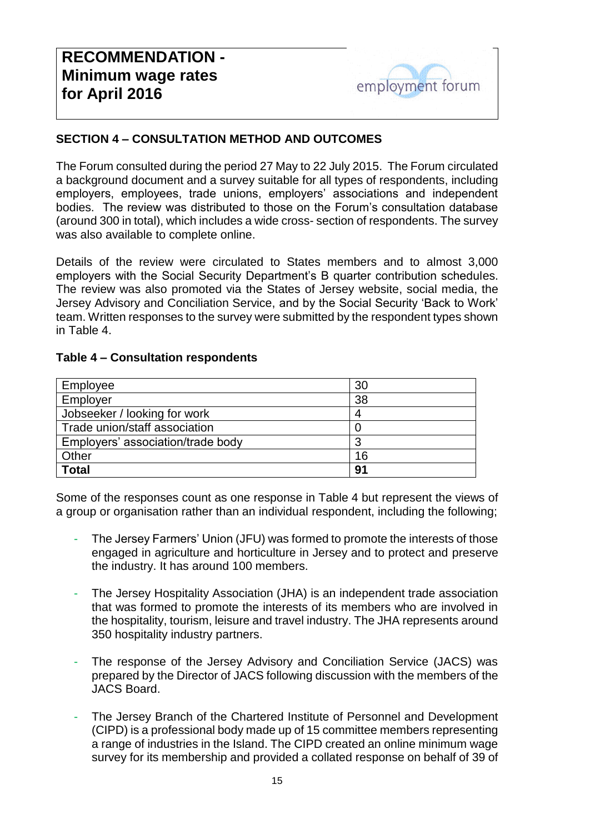# employment forum

### **SECTION 4 – CONSULTATION METHOD AND OUTCOMES**

The Forum consulted during the period 27 May to 22 July 2015. The Forum circulated a background document and a survey suitable for all types of respondents, including employers, employees, trade unions, employers' associations and independent bodies. The review was distributed to those on the Forum's consultation database (around 300 in total), which includes a wide cross- section of respondents. The survey was also available to complete online.

Details of the review were circulated to States members and to almost 3,000 employers with the Social Security Department's B quarter contribution schedules. The review was also promoted via the States of Jersey website, social media, the Jersey Advisory and Conciliation Service, and by the Social Security 'Back to Work' team. Written responses to the survey were submitted by the respondent types shown in Table 4.

#### **Table 4 – Consultation respondents**

| Employee                          | 30 |
|-----------------------------------|----|
| Employer                          | 38 |
| Jobseeker / looking for work      |    |
| Trade union/staff association     |    |
| Employers' association/trade body |    |
| Other                             | 16 |
| <b>Total</b>                      | 91 |

Some of the responses count as one response in Table 4 but represent the views of a group or organisation rather than an individual respondent, including the following;

- The Jersey Farmers' Union (JFU) was formed to promote the interests of those engaged in agriculture and horticulture in Jersey and to protect and preserve the industry. It has around 100 members.
- The Jersey Hospitality Association (JHA) is an independent trade association that was formed to promote the interests of its members who are involved in the hospitality, tourism, leisure and travel industry. The JHA represents around 350 hospitality industry partners.
- The response of the Jersey Advisory and Conciliation Service (JACS) was prepared by the Director of JACS following discussion with the members of the JACS Board.
- The Jersey Branch of the Chartered Institute of Personnel and Development (CIPD) is a professional body made up of 15 committee members representing a range of industries in the Island. The CIPD created an online minimum wage survey for its membership and provided a collated response on behalf of 39 of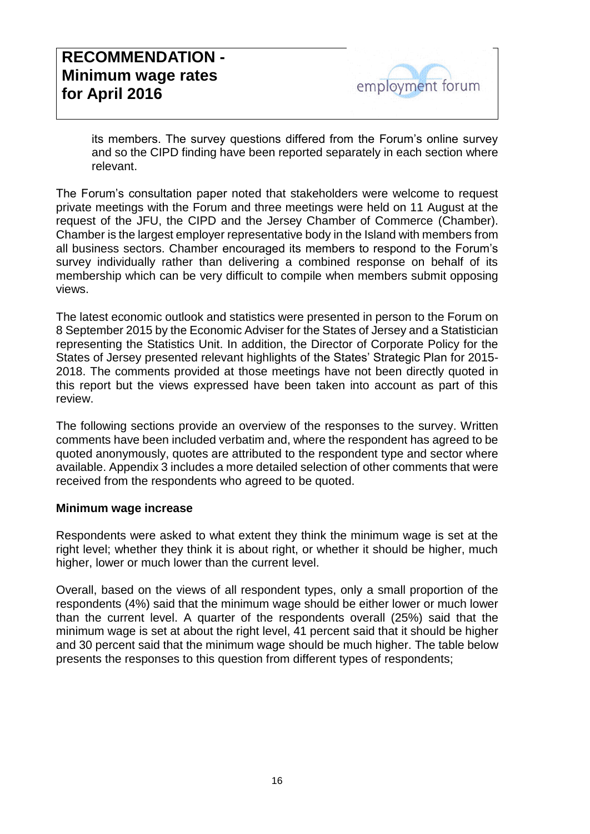its members. The survey questions differed from the Forum's online survey and so the CIPD finding have been reported separately in each section where relevant.

The Forum's consultation paper noted that stakeholders were welcome to request private meetings with the Forum and three meetings were held on 11 August at the request of the JFU, the CIPD and the Jersey Chamber of Commerce (Chamber). Chamber is the largest employer representative body in the Island with members from all business sectors. Chamber encouraged its members to respond to the Forum's survey individually rather than delivering a combined response on behalf of its membership which can be very difficult to compile when members submit opposing views.

The latest economic outlook and statistics were presented in person to the Forum on 8 September 2015 by the Economic Adviser for the States of Jersey and a Statistician representing the Statistics Unit. In addition, the Director of Corporate Policy for the States of Jersey presented relevant highlights of the States' Strategic Plan for 2015- 2018. The comments provided at those meetings have not been directly quoted in this report but the views expressed have been taken into account as part of this review.

The following sections provide an overview of the responses to the survey. Written comments have been included verbatim and, where the respondent has agreed to be quoted anonymously, quotes are attributed to the respondent type and sector where available. Appendix 3 includes a more detailed selection of other comments that were received from the respondents who agreed to be quoted.

#### **Minimum wage increase**

Respondents were asked to what extent they think the minimum wage is set at the right level; whether they think it is about right, or whether it should be higher, much higher, lower or much lower than the current level.

Overall, based on the views of all respondent types, only a small proportion of the respondents (4%) said that the minimum wage should be either lower or much lower than the current level. A quarter of the respondents overall (25%) said that the minimum wage is set at about the right level, 41 percent said that it should be higher and 30 percent said that the minimum wage should be much higher. The table below presents the responses to this question from different types of respondents;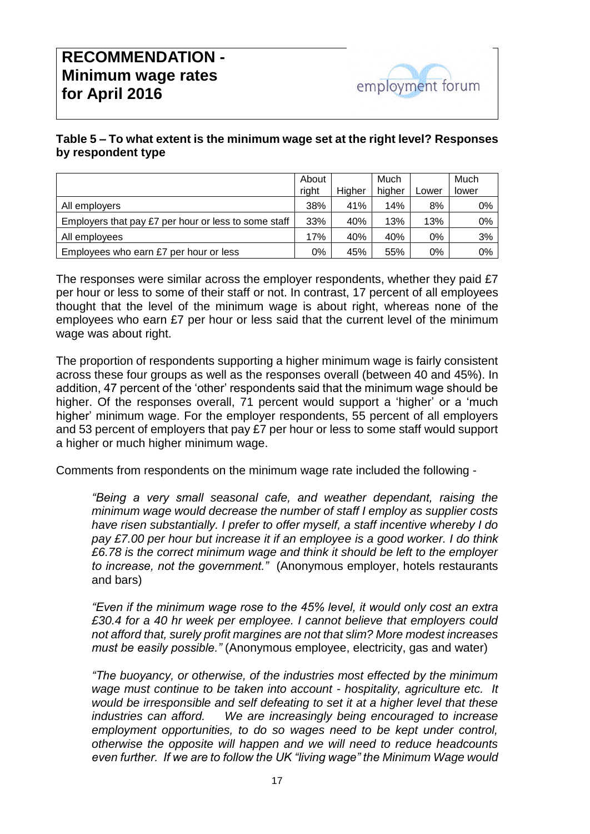# **RECOMMENDATION - Minimum wage rates for April 2016**



#### **Table 5 – To what extent is the minimum wage set at the right level? Responses by respondent type**

|                                                      | About |        | Much   |       | Much  |
|------------------------------------------------------|-------|--------|--------|-------|-------|
|                                                      | right | Higher | higher | Lower | lower |
| All employers                                        | 38%   | 41%    | 14%    | 8%    | 0%    |
| Employers that pay £7 per hour or less to some staff | 33%   | 40%    | 13%    | 13%   | 0%    |
| All employees                                        | 17%   | 40%    | 40%    | 0%    | 3%    |
| Employees who earn £7 per hour or less               | 0%    | 45%    | 55%    | 0%    | 0%    |

The responses were similar across the employer respondents, whether they paid £7 per hour or less to some of their staff or not. In contrast, 17 percent of all employees thought that the level of the minimum wage is about right, whereas none of the employees who earn £7 per hour or less said that the current level of the minimum wage was about right.

The proportion of respondents supporting a higher minimum wage is fairly consistent across these four groups as well as the responses overall (between 40 and 45%). In addition, 47 percent of the 'other' respondents said that the minimum wage should be higher. Of the responses overall, 71 percent would support a 'higher' or a 'much higher' minimum wage. For the employer respondents, 55 percent of all employers and 53 percent of employers that pay £7 per hour or less to some staff would support a higher or much higher minimum wage.

Comments from respondents on the minimum wage rate included the following -

*"Being a very small seasonal cafe, and weather dependant, raising the minimum wage would decrease the number of staff I employ as supplier costs have risen substantially. I prefer to offer myself, a staff incentive whereby I do pay £7.00 per hour but increase it if an employee is a good worker. I do think £6.78 is the correct minimum wage and think it should be left to the employer to increase, not the government."* (Anonymous employer, hotels restaurants and bars)

*"Even if the minimum wage rose to the 45% level, it would only cost an extra £30.4 for a 40 hr week per employee. I cannot believe that employers could not afford that, surely profit margines are not that slim? More modest increases must be easily possible."* (Anonymous employee, electricity, gas and water)

*"The buoyancy, or otherwise, of the industries most effected by the minimum wage must continue to be taken into account - hospitality, agriculture etc. It would be irresponsible and self defeating to set it at a higher level that these industries can afford. We are increasingly being encouraged to increase employment opportunities, to do so wages need to be kept under control, otherwise the opposite will happen and we will need to reduce headcounts even further. If we are to follow the UK "living wage" the Minimum Wage would*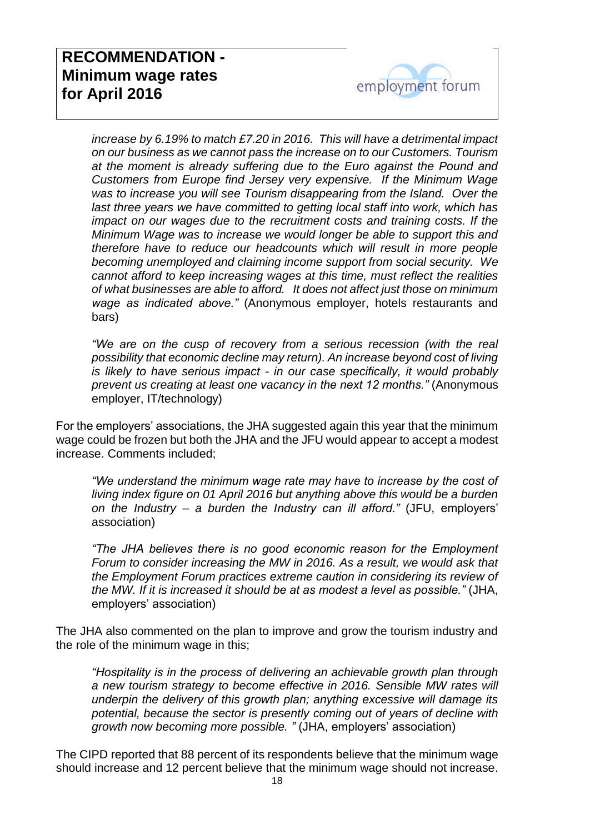

*increase by 6.19% to match £7.20 in 2016. This will have a detrimental impact on our business as we cannot pass the increase on to our Customers. Tourism at the moment is already suffering due to the Euro against the Pound and Customers from Europe find Jersey very expensive. If the Minimum Wage was to increase you will see Tourism disappearing from the Island. Over the*  last three years we have committed to getting local staff into work, which has *impact on our wages due to the recruitment costs and training costs. If the Minimum Wage was to increase we would longer be able to support this and therefore have to reduce our headcounts which will result in more people becoming unemployed and claiming income support from social security. We cannot afford to keep increasing wages at this time, must reflect the realities of what businesses are able to afford. It does not affect just those on minimum wage as indicated above."* (Anonymous employer, hotels restaurants and bars)

*"We are on the cusp of recovery from a serious recession (with the real possibility that economic decline may return). An increase beyond cost of living is likely to have serious impact - in our case specifically, it would probably prevent us creating at least one vacancy in the next 12 months."* (Anonymous employer, IT/technology)

For the employers' associations, the JHA suggested again this year that the minimum wage could be frozen but both the JHA and the JFU would appear to accept a modest increase. Comments included;

*"We understand the minimum wage rate may have to increase by the cost of living index figure on 01 April 2016 but anything above this would be a burden on the Industry – a burden the Industry can ill afford."* (JFU, employers' association)

*"The JHA believes there is no good economic reason for the Employment Forum to consider increasing the MW in 2016. As a result, we would ask that the Employment Forum practices extreme caution in considering its review of the MW. If it is increased it should be at as modest a level as possible."* (JHA, employers' association)

The JHA also commented on the plan to improve and grow the tourism industry and the role of the minimum wage in this;

*"Hospitality is in the process of delivering an achievable growth plan through a new tourism strategy to become effective in 2016. Sensible MW rates will underpin the delivery of this growth plan; anything excessive will damage its potential, because the sector is presently coming out of years of decline with growth now becoming more possible. "* (JHA, employers' association)

The CIPD reported that 88 percent of its respondents believe that the minimum wage should increase and 12 percent believe that the minimum wage should not increase.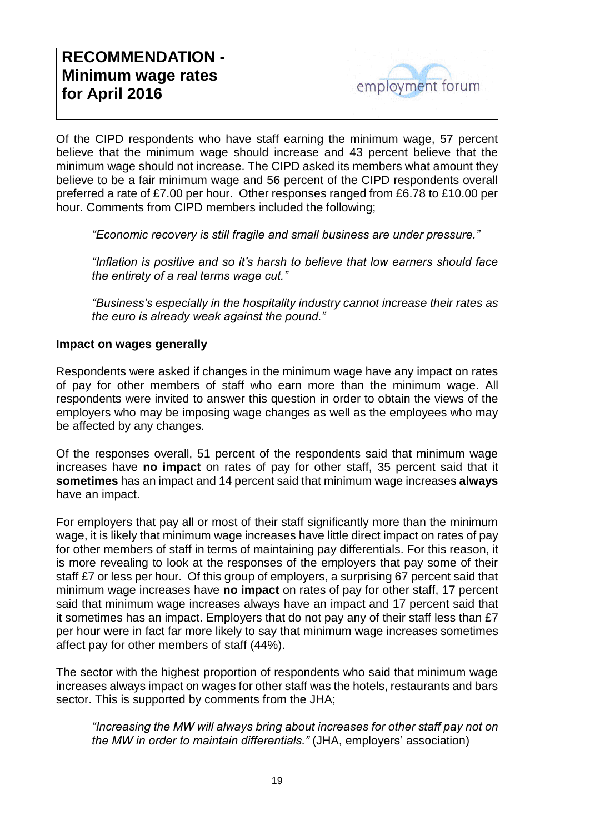Of the CIPD respondents who have staff earning the minimum wage, 57 percent believe that the minimum wage should increase and 43 percent believe that the minimum wage should not increase. The CIPD asked its members what amount they believe to be a fair minimum wage and 56 percent of the CIPD respondents overall preferred a rate of £7.00 per hour. Other responses ranged from £6.78 to £10.00 per hour. Comments from CIPD members included the following;

*"Economic recovery is still fragile and small business are under pressure."*

*"Inflation is positive and so it's harsh to believe that low earners should face the entirety of a real terms wage cut."*

*"Business's especially in the hospitality industry cannot increase their rates as the euro is already weak against the pound."*

#### **Impact on wages generally**

Respondents were asked if changes in the minimum wage have any impact on rates of pay for other members of staff who earn more than the minimum wage. All respondents were invited to answer this question in order to obtain the views of the employers who may be imposing wage changes as well as the employees who may be affected by any changes.

Of the responses overall, 51 percent of the respondents said that minimum wage increases have **no impact** on rates of pay for other staff, 35 percent said that it **sometimes** has an impact and 14 percent said that minimum wage increases **always** have an impact.

For employers that pay all or most of their staff significantly more than the minimum wage, it is likely that minimum wage increases have little direct impact on rates of pay for other members of staff in terms of maintaining pay differentials. For this reason, it is more revealing to look at the responses of the employers that pay some of their staff £7 or less per hour. Of this group of employers, a surprising 67 percent said that minimum wage increases have **no impact** on rates of pay for other staff, 17 percent said that minimum wage increases always have an impact and 17 percent said that it sometimes has an impact. Employers that do not pay any of their staff less than £7 per hour were in fact far more likely to say that minimum wage increases sometimes affect pay for other members of staff (44%).

The sector with the highest proportion of respondents who said that minimum wage increases always impact on wages for other staff was the hotels, restaurants and bars sector. This is supported by comments from the JHA;

*"Increasing the MW will always bring about increases for other staff pay not on the MW in order to maintain differentials."* (JHA, employers' association)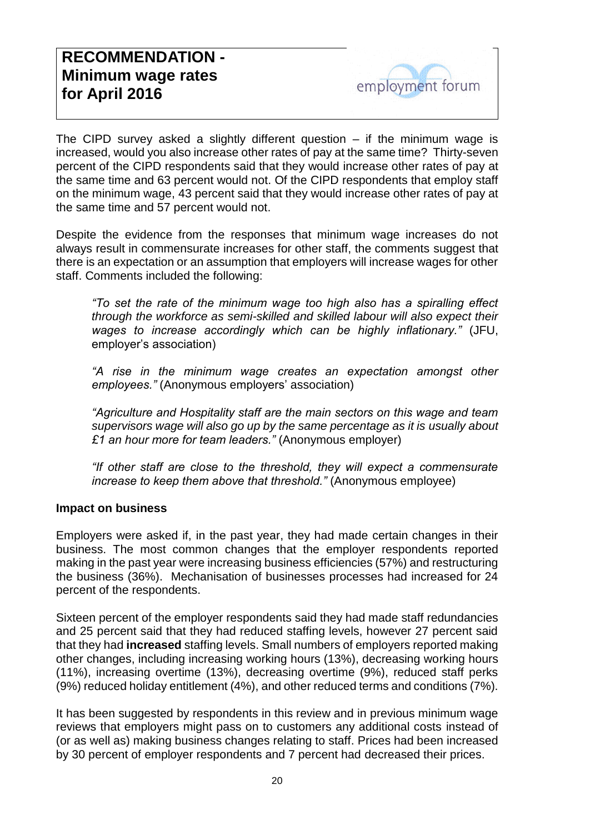The CIPD survey asked a slightly different question  $-$  if the minimum wage is increased, would you also increase other rates of pay at the same time? Thirty-seven percent of the CIPD respondents said that they would increase other rates of pay at the same time and 63 percent would not. Of the CIPD respondents that employ staff on the minimum wage, 43 percent said that they would increase other rates of pay at the same time and 57 percent would not.

Despite the evidence from the responses that minimum wage increases do not always result in commensurate increases for other staff, the comments suggest that there is an expectation or an assumption that employers will increase wages for other staff. Comments included the following:

*"To set the rate of the minimum wage too high also has a spiralling effect through the workforce as semi-skilled and skilled labour will also expect their wages to increase accordingly which can be highly inflationary."* (JFU, employer's association)

*"A rise in the minimum wage creates an expectation amongst other employees."* (Anonymous employers' association)

*"Agriculture and Hospitality staff are the main sectors on this wage and team supervisors wage will also go up by the same percentage as it is usually about £1 an hour more for team leaders."* (Anonymous employer)

*"If other staff are close to the threshold, they will expect a commensurate increase to keep them above that threshold."* (Anonymous employee)

#### **Impact on business**

Employers were asked if, in the past year, they had made certain changes in their business. The most common changes that the employer respondents reported making in the past year were increasing business efficiencies (57%) and restructuring the business (36%). Mechanisation of businesses processes had increased for 24 percent of the respondents.

Sixteen percent of the employer respondents said they had made staff redundancies and 25 percent said that they had reduced staffing levels, however 27 percent said that they had **increased** staffing levels. Small numbers of employers reported making other changes, including increasing working hours (13%), decreasing working hours (11%), increasing overtime (13%), decreasing overtime (9%), reduced staff perks (9%) reduced holiday entitlement (4%), and other reduced terms and conditions (7%).

It has been suggested by respondents in this review and in previous minimum wage reviews that employers might pass on to customers any additional costs instead of (or as well as) making business changes relating to staff. Prices had been increased by 30 percent of employer respondents and 7 percent had decreased their prices.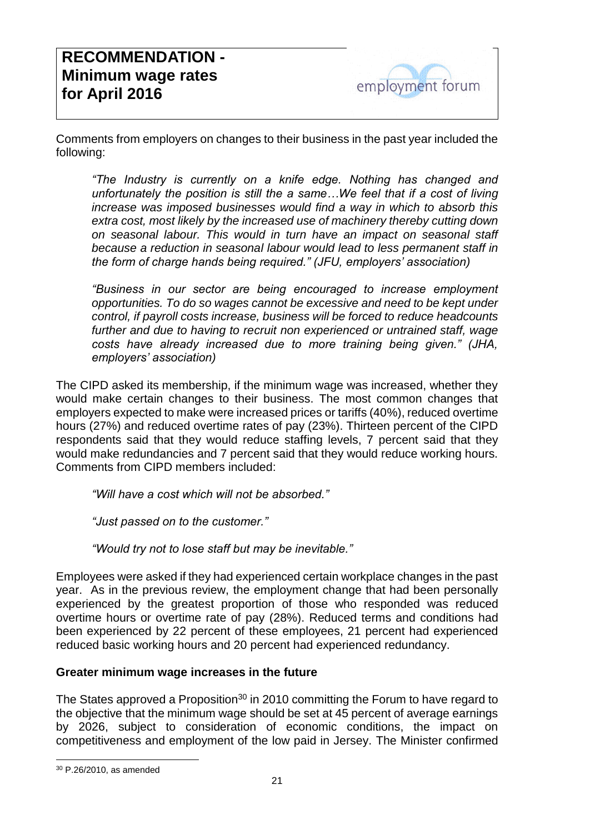Comments from employers on changes to their business in the past year included the following:

*"The Industry is currently on a knife edge. Nothing has changed and unfortunately the position is still the a same…We feel that if a cost of living increase was imposed businesses would find a way in which to absorb this extra cost, most likely by the increased use of machinery thereby cutting down on seasonal labour. This would in turn have an impact on seasonal staff because a reduction in seasonal labour would lead to less permanent staff in the form of charge hands being required." (JFU, employers' association)*

*"Business in our sector are being encouraged to increase employment opportunities. To do so wages cannot be excessive and need to be kept under control, if payroll costs increase, business will be forced to reduce headcounts*  further and due to having to recruit non experienced or untrained staff, wage *costs have already increased due to more training being given." (JHA, employers' association)*

The CIPD asked its membership, if the minimum wage was increased, whether they would make certain changes to their business. The most common changes that employers expected to make were increased prices or tariffs (40%), reduced overtime hours (27%) and reduced overtime rates of pay (23%). Thirteen percent of the CIPD respondents said that they would reduce staffing levels, 7 percent said that they would make redundancies and 7 percent said that they would reduce working hours. Comments from CIPD members included:

*"Will have a cost which will not be absorbed."*

*"Just passed on to the customer."*

*"Would try not to lose staff but may be inevitable."*

Employees were asked if they had experienced certain workplace changes in the past year. As in the previous review, the employment change that had been personally experienced by the greatest proportion of those who responded was reduced overtime hours or overtime rate of pay (28%). Reduced terms and conditions had been experienced by 22 percent of these employees, 21 percent had experienced reduced basic working hours and 20 percent had experienced redundancy.

#### **Greater minimum wage increases in the future**

The States approved a Proposition<sup>30</sup> in 2010 committing the Forum to have regard to the objective that the minimum wage should be set at 45 percent of average earnings by 2026, subject to consideration of economic conditions, the impact on competitiveness and employment of the low paid in Jersey. The Minister confirmed

-

<sup>30</sup> P.26/2010, as amended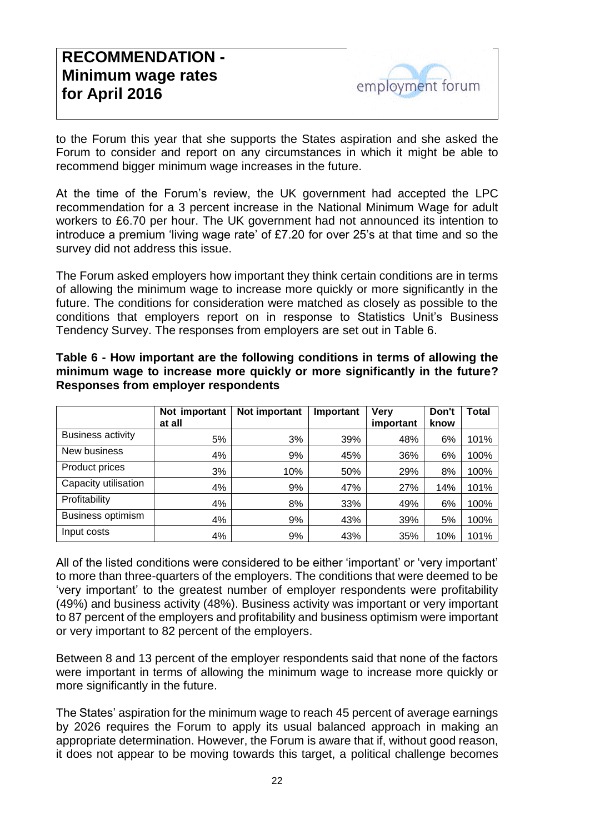to the Forum this year that she supports the States aspiration and she asked the Forum to consider and report on any circumstances in which it might be able to recommend bigger minimum wage increases in the future.

At the time of the Forum's review, the UK government had accepted the LPC recommendation for a 3 percent increase in the National Minimum Wage for adult workers to £6.70 per hour. The UK government had not announced its intention to introduce a premium 'living wage rate' of £7.20 for over 25's at that time and so the survey did not address this issue.

The Forum asked employers how important they think certain conditions are in terms of allowing the minimum wage to increase more quickly or more significantly in the future. The conditions for consideration were matched as closely as possible to the conditions that employers report on in response to Statistics Unit's Business Tendency Survey. The responses from employers are set out in Table 6.

|                          | Not important<br>at all | Not important | Important | <b>Very</b><br>important | Don't<br>know | Total |
|--------------------------|-------------------------|---------------|-----------|--------------------------|---------------|-------|
| <b>Business activity</b> | 5%                      | 3%            | 39%       | 48%                      | 6%            | 101%  |
| New business             | 4%                      | 9%            | 45%       | 36%                      | 6%            | 100%  |
| Product prices           | 3%                      | 10%           | 50%       | 29%                      | 8%            | 100%  |
| Capacity utilisation     | 4%                      | 9%            | 47%       | 27%                      | 14%           | 101%  |
| Profitability            | 4%                      | 8%            | 33%       | 49%                      | 6%            | 100%  |
| Business optimism        | 4%                      | 9%            | 43%       | 39%                      | 5%            | 100%  |
| Input costs              | 4%                      | 9%            | 43%       | 35%                      | 10%           | 101%  |

**Table 6 - How important are the following conditions in terms of allowing the minimum wage to increase more quickly or more significantly in the future? Responses from employer respondents**

All of the listed conditions were considered to be either 'important' or 'very important' to more than three-quarters of the employers. The conditions that were deemed to be 'very important' to the greatest number of employer respondents were profitability (49%) and business activity (48%). Business activity was important or very important to 87 percent of the employers and profitability and business optimism were important or very important to 82 percent of the employers.

Between 8 and 13 percent of the employer respondents said that none of the factors were important in terms of allowing the minimum wage to increase more quickly or more significantly in the future.

The States' aspiration for the minimum wage to reach 45 percent of average earnings by 2026 requires the Forum to apply its usual balanced approach in making an appropriate determination. However, the Forum is aware that if, without good reason, it does not appear to be moving towards this target, a political challenge becomes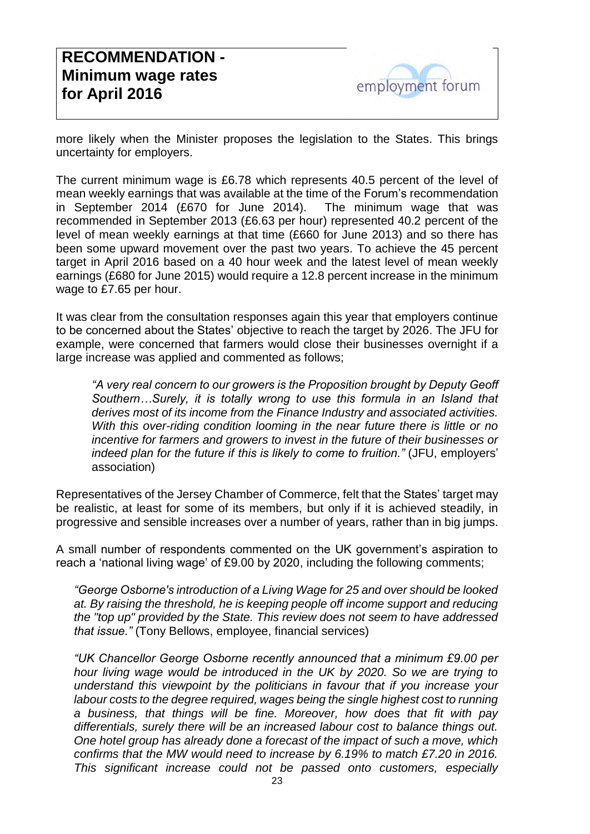more likely when the Minister proposes the legislation to the States. This brings uncertainty for employers.

The current minimum wage is £6.78 which represents 40.5 percent of the level of mean weekly earnings that was available at the time of the Forum's recommendation in September 2014 (£670 for June 2014). The minimum wage that was recommended in September 2013 (£6.63 per hour) represented 40.2 percent of the level of mean weekly earnings at that time (£660 for June 2013) and so there has been some upward movement over the past two years. To achieve the 45 percent target in April 2016 based on a 40 hour week and the latest level of mean weekly earnings (£680 for June 2015) would require a 12.8 percent increase in the minimum wage to £7.65 per hour.

It was clear from the consultation responses again this year that employers continue to be concerned about the States' objective to reach the target by 2026. The JFU for example, were concerned that farmers would close their businesses overnight if a large increase was applied and commented as follows;

*"A very real concern to our growers is the Proposition brought by Deputy Geoff Southern…Surely, it is totally wrong to use this formula in an Island that derives most of its income from the Finance Industry and associated activities. With this over-riding condition looming in the near future there is little or no incentive for farmers and growers to invest in the future of their businesses or indeed plan for the future if this is likely to come to fruition."* (JFU, employers' association)

Representatives of the Jersey Chamber of Commerce, felt that the States' target may be realistic, at least for some of its members, but only if it is achieved steadily, in progressive and sensible increases over a number of years, rather than in big jumps.

A small number of respondents commented on the UK government's aspiration to reach a 'national living wage' of £9.00 by 2020, including the following comments;

*"George Osborne's introduction of a Living Wage for 25 and over should be looked at. By raising the threshold, he is keeping people off income support and reducing the "top up" provided by the State. This review does not seem to have addressed that issue."* (Tony Bellows, employee, financial services)

*"UK Chancellor George Osborne recently announced that a minimum £9.00 per hour living wage would be introduced in the UK by 2020. So we are trying to understand this viewpoint by the politicians in favour that if you increase your*  labour costs to the degree required, wages being the single highest cost to running *a business, that things will be fine. Moreover, how does that fit with pay differentials, surely there will be an increased labour cost to balance things out. One hotel group has already done a forecast of the impact of such a move, which confirms that the MW would need to increase by 6.19% to match £7.20 in 2016. This significant increase could not be passed onto customers, especially*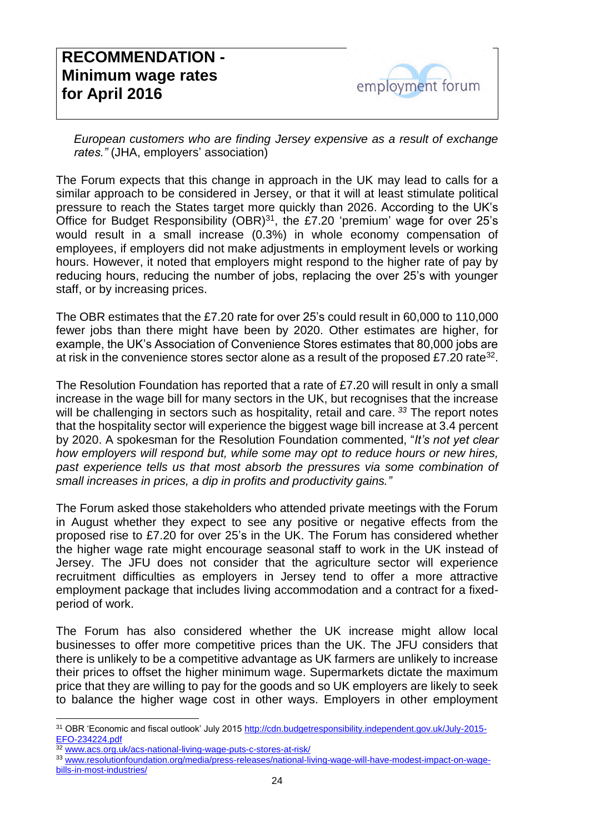*European customers who are finding Jersey expensive as a result of exchange rates."* (JHA, employers' association)

The Forum expects that this change in approach in the UK may lead to calls for a similar approach to be considered in Jersey, or that it will at least stimulate political pressure to reach the States target more quickly than 2026. According to the UK's Office for Budget Responsibility (OBR) $31$ , the £7.20 'premium' wage for over 25's would result in a small increase (0.3%) in whole economy compensation of employees, if employers did not make adjustments in employment levels or working hours. However, it noted that employers might respond to the higher rate of pay by reducing hours, reducing the number of jobs, replacing the over 25's with younger staff, or by increasing prices.

The OBR estimates that the £7.20 rate for over 25's could result in 60,000 to 110,000 fewer jobs than there might have been by 2020. Other estimates are higher, for example, the UK's Association of Convenience Stores estimates that 80,000 jobs are at risk in the convenience stores sector alone as a result of the proposed £7.20 rate<sup>32</sup>.

The Resolution Foundation has reported that a rate of £7.20 will result in only a small increase in the wage bill for many sectors in the UK, but recognises that the increase will be challenging in sectors such as hospitality, retail and care. *<sup>33</sup>* The report notes that the hospitality sector will experience the biggest wage bill increase at 3.4 percent by 2020. A spokesman for the Resolution Foundation commented, "*It's not yet clear how employers will respond but, while some may opt to reduce hours or new hires, past experience tells us that most absorb the pressures via some combination of small increases in prices, a dip in profits and productivity gains."*

The Forum asked those stakeholders who attended private meetings with the Forum in August whether they expect to see any positive or negative effects from the proposed rise to £7.20 for over 25's in the UK. The Forum has considered whether the higher wage rate might encourage seasonal staff to work in the UK instead of Jersey. The JFU does not consider that the agriculture sector will experience recruitment difficulties as employers in Jersey tend to offer a more attractive employment package that includes living accommodation and a contract for a fixedperiod of work.

The Forum has also considered whether the UK increase might allow local businesses to offer more competitive prices than the UK. The JFU considers that there is unlikely to be a competitive advantage as UK farmers are unlikely to increase their prices to offset the higher minimum wage. Supermarkets dictate the maximum price that they are willing to pay for the goods and so UK employers are likely to seek to balance the higher wage cost in other ways. Employers in other employment

[www.acs.org.uk/acs-national-living-wage-puts-c-stores-at-risk/](http://www.acs.org.uk/acs-national-living-wage-puts-c-stores-at-risk/)

31 OBR 'Economic and fiscal outlook' July 2015 [http://cdn.budgetresponsibility.independent.gov.uk/July-2015-](http://cdn.budgetresponsibility.independent.gov.uk/July-2015-EFO-234224.pdf) [EFO-234224.pdf](http://cdn.budgetresponsibility.independent.gov.uk/July-2015-EFO-234224.pdf)

<sup>33</sup> [www.resolutionfoundation.org/media/press-releases/national-living-wage-will-have-modest-impact-on-wage-](http://www.resolutionfoundation.org/media/press-releases/national-living-wage-will-have-modest-impact-on-wage-bills-in-most-industries/)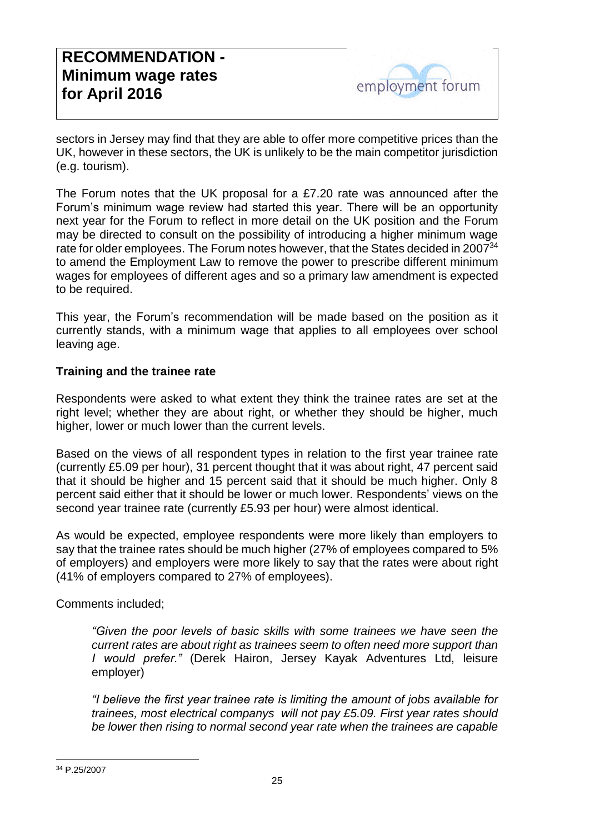sectors in Jersey may find that they are able to offer more competitive prices than the UK, however in these sectors, the UK is unlikely to be the main competitor jurisdiction (e.g. tourism).

The Forum notes that the UK proposal for a £7.20 rate was announced after the Forum's minimum wage review had started this year. There will be an opportunity next year for the Forum to reflect in more detail on the UK position and the Forum may be directed to consult on the possibility of introducing a higher minimum wage rate for older employees. The Forum notes however, that the States decided in 2007<sup>34</sup> to amend the Employment Law to remove the power to prescribe different minimum wages for employees of different ages and so a primary law amendment is expected to be required.

This year, the Forum's recommendation will be made based on the position as it currently stands, with a minimum wage that applies to all employees over school leaving age.

#### **Training and the trainee rate**

Respondents were asked to what extent they think the trainee rates are set at the right level; whether they are about right, or whether they should be higher, much higher, lower or much lower than the current levels.

Based on the views of all respondent types in relation to the first year trainee rate (currently £5.09 per hour), 31 percent thought that it was about right, 47 percent said that it should be higher and 15 percent said that it should be much higher. Only 8 percent said either that it should be lower or much lower. Respondents' views on the second year trainee rate (currently £5.93 per hour) were almost identical.

As would be expected, employee respondents were more likely than employers to say that the trainee rates should be much higher (27% of employees compared to 5% of employers) and employers were more likely to say that the rates were about right (41% of employers compared to 27% of employees).

Comments included;

*"Given the poor levels of basic skills with some trainees we have seen the current rates are about right as trainees seem to often need more support than I would prefer."* (Derek Hairon, Jersey Kayak Adventures Ltd, leisure employer)

*"I believe the first year trainee rate is limiting the amount of jobs available for trainees, most electrical companys will not pay £5.09. First year rates should be lower then rising to normal second year rate when the trainees are capable* 

-

<sup>34</sup> P.25/2007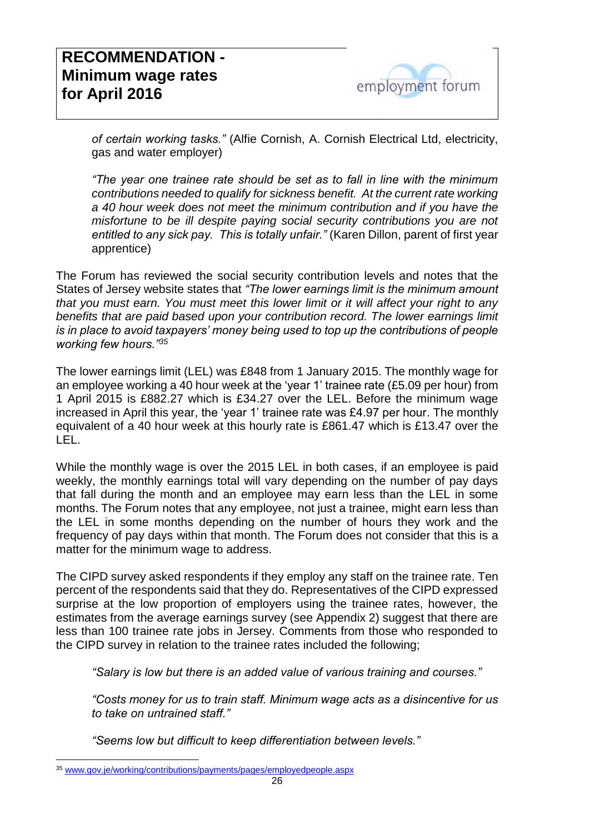*of certain working tasks."* (Alfie Cornish, A. Cornish Electrical Ltd, electricity, gas and water employer)

*"The year one trainee rate should be set as to fall in line with the minimum contributions needed to qualify for sickness benefit. At the current rate working a 40 hour week does not meet the minimum contribution and if you have the misfortune to be ill despite paying social security contributions you are not entitled to any sick pay. This is totally unfair."* (Karen Dillon, parent of first year apprentice)

The Forum has reviewed the social security contribution levels and notes that the States of Jersey website states that *"The lower earnings limit is the minimum amount that you must earn. You must meet this lower limit or it will affect your right to any benefits that are paid based upon your contribution record. The lower earnings limit is in place to avoid taxpayers' money being used to top up the contributions of people working few hours."<sup>35</sup>*

The lower earnings limit (LEL) was £848 from 1 January 2015. The monthly wage for an employee working a 40 hour week at the 'year 1' trainee rate (£5.09 per hour) from 1 April 2015 is £882.27 which is £34.27 over the LEL. Before the minimum wage increased in April this year, the 'year 1' trainee rate was £4.97 per hour. The monthly equivalent of a 40 hour week at this hourly rate is £861.47 which is £13.47 over the LEL.

While the monthly wage is over the 2015 LEL in both cases, if an employee is paid weekly, the monthly earnings total will vary depending on the number of pay days that fall during the month and an employee may earn less than the LEL in some months. The Forum notes that any employee, not just a trainee, might earn less than the LEL in some months depending on the number of hours they work and the frequency of pay days within that month. The Forum does not consider that this is a matter for the minimum wage to address.

The CIPD survey asked respondents if they employ any staff on the trainee rate. Ten percent of the respondents said that they do. Representatives of the CIPD expressed surprise at the low proportion of employers using the trainee rates, however, the estimates from the average earnings survey (see Appendix 2) suggest that there are less than 100 trainee rate jobs in Jersey. Comments from those who responded to the CIPD survey in relation to the trainee rates included the following;

*"Salary is low but there is an added value of various training and courses."*

*"Costs money for us to train staff. Minimum wage acts as a disincentive for us to take on untrained staff."*

*"Seems low but difficult to keep differentiation between levels."*

-

<sup>35</sup> [www.gov.je/working/contributions/payments/pages/employedpeople.aspx](http://www.gov.je/working/contributions/payments/pages/employedpeople.aspx)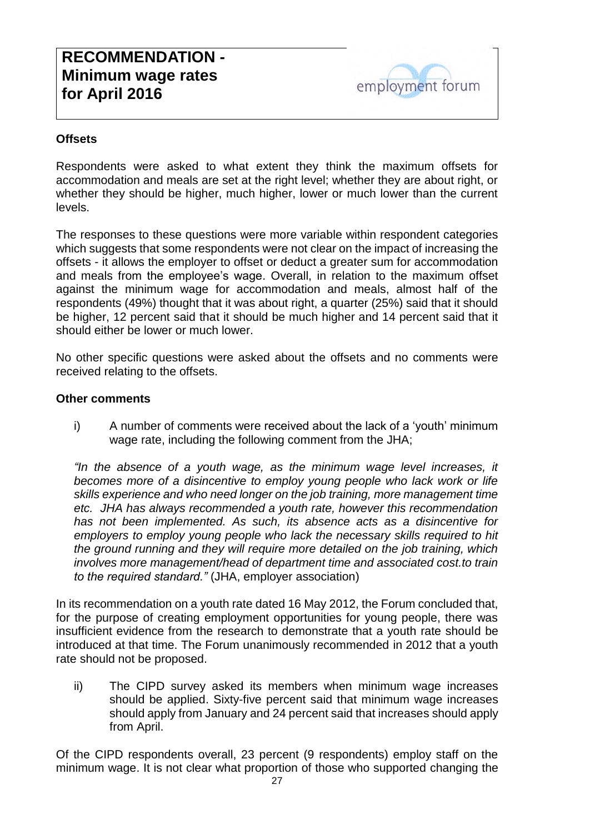#### **Offsets**

Respondents were asked to what extent they think the maximum offsets for accommodation and meals are set at the right level; whether they are about right, or whether they should be higher, much higher, lower or much lower than the current levels.

The responses to these questions were more variable within respondent categories which suggests that some respondents were not clear on the impact of increasing the offsets - it allows the employer to offset or deduct a greater sum for accommodation and meals from the employee's wage. Overall, in relation to the maximum offset against the minimum wage for accommodation and meals, almost half of the respondents (49%) thought that it was about right, a quarter (25%) said that it should be higher, 12 percent said that it should be much higher and 14 percent said that it should either be lower or much lower.

No other specific questions were asked about the offsets and no comments were received relating to the offsets.

#### **Other comments**

i) A number of comments were received about the lack of a 'youth' minimum wage rate, including the following comment from the JHA;

*"In the absence of a youth wage, as the minimum wage level increases, it becomes more of a disincentive to employ young people who lack work or life skills experience and who need longer on the job training, more management time etc. JHA has always recommended a youth rate, however this recommendation has not been implemented. As such, its absence acts as a disincentive for employers to employ young people who lack the necessary skills required to hit the ground running and they will require more detailed on the job training, which involves more management/head of department time and associated cost.to train to the required standard."* (JHA, employer association)

In its recommendation on a youth rate dated 16 May 2012, the Forum concluded that, for the purpose of creating employment opportunities for young people, there was insufficient evidence from the research to demonstrate that a youth rate should be introduced at that time. The Forum unanimously recommended in 2012 that a youth rate should not be proposed.

ii) The CIPD survey asked its members when minimum wage increases should be applied. Sixty-five percent said that minimum wage increases should apply from January and 24 percent said that increases should apply from April.

Of the CIPD respondents overall, 23 percent (9 respondents) employ staff on the minimum wage. It is not clear what proportion of those who supported changing the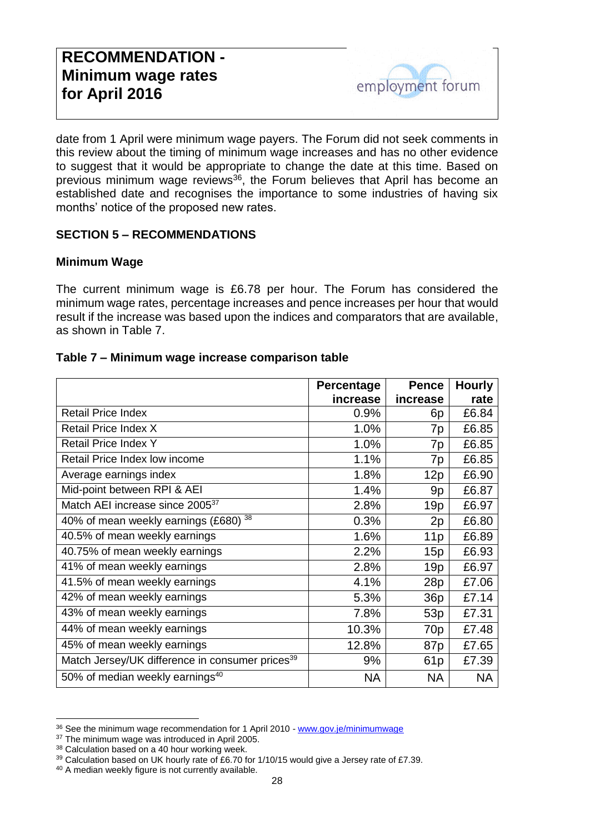date from 1 April were minimum wage payers. The Forum did not seek comments in this review about the timing of minimum wage increases and has no other evidence to suggest that it would be appropriate to change the date at this time. Based on previous minimum wage reviews<sup>36</sup>, the Forum believes that April has become an established date and recognises the importance to some industries of having six months' notice of the proposed new rates.

#### **SECTION 5 – RECOMMENDATIONS**

#### **Minimum Wage**

The current minimum wage is £6.78 per hour. The Forum has considered the minimum wage rates, percentage increases and pence increases per hour that would result if the increase was based upon the indices and comparators that are available, as shown in Table 7.

#### **Table 7 – Minimum wage increase comparison table**

|                                                             | <b>Percentage</b> | <b>Pence</b>    | <b>Hourly</b> |
|-------------------------------------------------------------|-------------------|-----------------|---------------|
|                                                             | increase          | increase        | rate          |
| <b>Retail Price Index</b>                                   | 0.9%              | 6p              | £6.84         |
| Retail Price Index X                                        | 1.0%              | 7p              | £6.85         |
| <b>Retail Price Index Y</b>                                 | 1.0%              | 7p              | £6.85         |
| Retail Price Index low income                               | 1.1%              | 7p              | £6.85         |
| Average earnings index                                      | 1.8%              | 12p             | £6.90         |
| Mid-point between RPI & AEI                                 | 1.4%              | 9p              | £6.87         |
| Match AEI increase since 2005 <sup>37</sup>                 | 2.8%              | 19p             | £6.97         |
| 40% of mean weekly earnings (£680) 38                       | 0.3%              | 2p              | £6.80         |
| 40.5% of mean weekly earnings                               | 1.6%              | 11p             | £6.89         |
| 40.75% of mean weekly earnings                              | 2.2%              | 15p             | £6.93         |
| 41% of mean weekly earnings                                 | 2.8%              | 19p             | £6.97         |
| 41.5% of mean weekly earnings                               | 4.1%              | 28p             | £7.06         |
| 42% of mean weekly earnings                                 | 5.3%              | 36p             | £7.14         |
| 43% of mean weekly earnings                                 | 7.8%              | 53p             | £7.31         |
| 44% of mean weekly earnings                                 | 10.3%             | 70 <sub>p</sub> | £7.48         |
| 45% of mean weekly earnings                                 | 12.8%             | 87 <sub>p</sub> | £7.65         |
| Match Jersey/UK difference in consumer prices <sup>39</sup> | 9%                | 61 <sub>p</sub> | £7.39         |
| 50% of median weekly earnings <sup>40</sup>                 | <b>NA</b>         | <b>NA</b>       | <b>NA</b>     |

<sup>&</sup>lt;sup>36</sup> See the minimum wage recommendation for 1 April 2010 - www.gov.je/minimumwage

<sup>&</sup>lt;sup>37</sup> The minimum wage was introduced in April 2005.

<sup>38</sup> Calculation based on a 40 hour working week.

<sup>&</sup>lt;sup>39</sup> Calculation based on UK hourly rate of £6.70 for 1/10/15 would give a Jersey rate of £7.39.

<sup>40</sup> A median weekly figure is not currently available.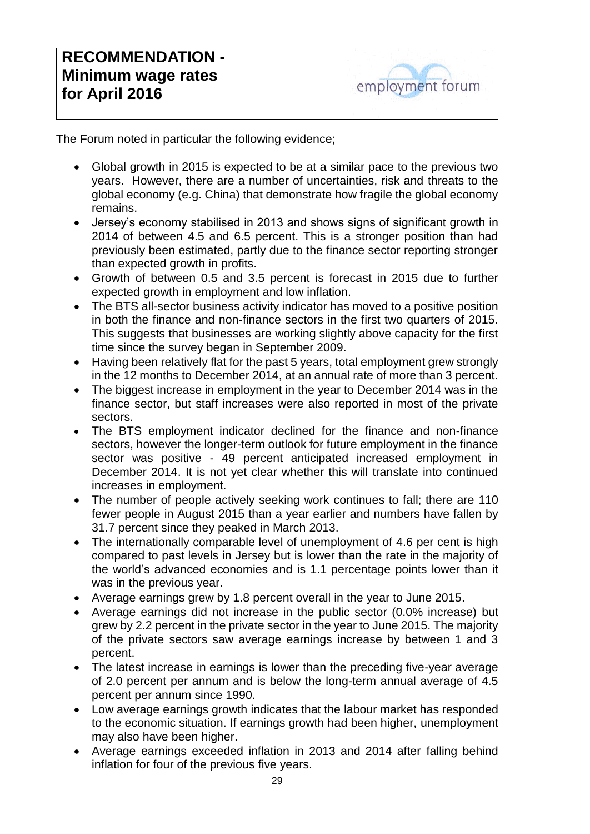The Forum noted in particular the following evidence;

- Global growth in 2015 is expected to be at a similar pace to the previous two years. However, there are a number of uncertainties, risk and threats to the global economy (e.g. China) that demonstrate how fragile the global economy remains.
- Jersey's economy stabilised in 2013 and shows signs of significant growth in 2014 of between 4.5 and 6.5 percent. This is a stronger position than had previously been estimated, partly due to the finance sector reporting stronger than expected growth in profits.
- Growth of between 0.5 and 3.5 percent is forecast in 2015 due to further expected growth in employment and low inflation.
- The BTS all-sector business activity indicator has moved to a positive position in both the finance and non-finance sectors in the first two quarters of 2015. This suggests that businesses are working slightly above capacity for the first time since the survey began in September 2009.
- Having been relatively flat for the past 5 years, total employment grew strongly in the 12 months to December 2014, at an annual rate of more than 3 percent.
- The biggest increase in employment in the year to December 2014 was in the finance sector, but staff increases were also reported in most of the private sectors.
- The BTS employment indicator declined for the finance and non-finance sectors, however the longer-term outlook for future employment in the finance sector was positive - 49 percent anticipated increased employment in December 2014. It is not yet clear whether this will translate into continued increases in employment.
- The number of people actively seeking work continues to fall; there are 110 fewer people in August 2015 than a year earlier and numbers have fallen by 31.7 percent since they peaked in March 2013.
- The internationally comparable level of unemployment of 4.6 per cent is high compared to past levels in Jersey but is lower than the rate in the majority of the world's advanced economies and is 1.1 percentage points lower than it was in the previous year.
- Average earnings grew by 1.8 percent overall in the year to June 2015.
- Average earnings did not increase in the public sector (0.0% increase) but grew by 2.2 percent in the private sector in the year to June 2015. The majority of the private sectors saw average earnings increase by between 1 and 3 percent.
- The latest increase in earnings is lower than the preceding five-year average of 2.0 percent per annum and is below the long-term annual average of 4.5 percent per annum since 1990.
- Low average earnings growth indicates that the labour market has responded to the economic situation. If earnings growth had been higher, unemployment may also have been higher.
- Average earnings exceeded inflation in 2013 and 2014 after falling behind inflation for four of the previous five years.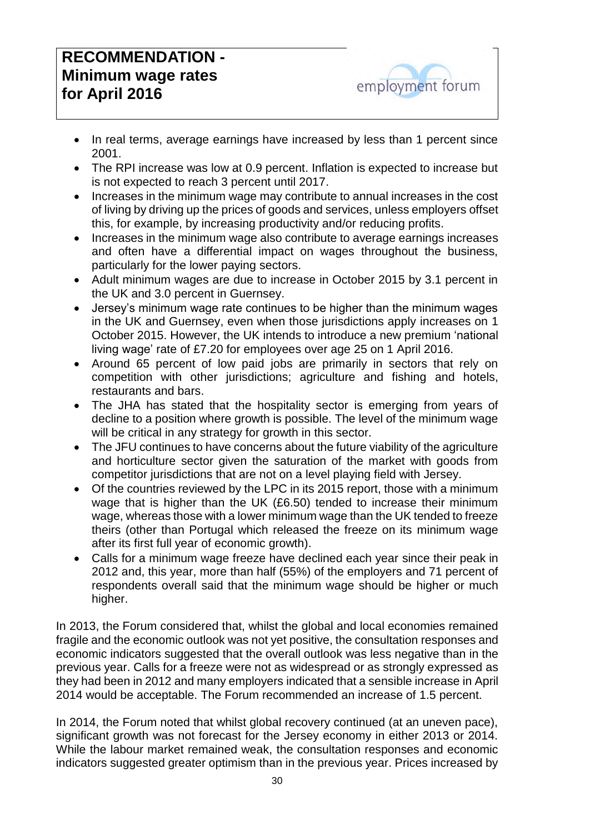# **RECOMMENDATION - Minimum wage rates for April 2016**



- In real terms, average earnings have increased by less than 1 percent since 2001.
- The RPI increase was low at 0.9 percent. Inflation is expected to increase but is not expected to reach 3 percent until 2017.
- Increases in the minimum wage may contribute to annual increases in the cost of living by driving up the prices of goods and services, unless employers offset this, for example, by increasing productivity and/or reducing profits.
- Increases in the minimum wage also contribute to average earnings increases and often have a differential impact on wages throughout the business, particularly for the lower paying sectors.
- Adult minimum wages are due to increase in October 2015 by 3.1 percent in the UK and 3.0 percent in Guernsey.
- Jersey's minimum wage rate continues to be higher than the minimum wages in the UK and Guernsey, even when those jurisdictions apply increases on 1 October 2015. However, the UK intends to introduce a new premium 'national living wage' rate of £7.20 for employees over age 25 on 1 April 2016.
- Around 65 percent of low paid jobs are primarily in sectors that rely on competition with other jurisdictions; agriculture and fishing and hotels, restaurants and bars.
- The JHA has stated that the hospitality sector is emerging from years of decline to a position where growth is possible. The level of the minimum wage will be critical in any strategy for growth in this sector.
- The JFU continues to have concerns about the future viability of the agriculture and horticulture sector given the saturation of the market with goods from competitor jurisdictions that are not on a level playing field with Jersey.
- Of the countries reviewed by the LPC in its 2015 report, those with a minimum wage that is higher than the UK (£6.50) tended to increase their minimum wage, whereas those with a lower minimum wage than the UK tended to freeze theirs (other than Portugal which released the freeze on its minimum wage after its first full year of economic growth).
- Calls for a minimum wage freeze have declined each year since their peak in 2012 and, this year, more than half (55%) of the employers and 71 percent of respondents overall said that the minimum wage should be higher or much higher.

In 2013, the Forum considered that, whilst the global and local economies remained fragile and the economic outlook was not yet positive, the consultation responses and economic indicators suggested that the overall outlook was less negative than in the previous year. Calls for a freeze were not as widespread or as strongly expressed as they had been in 2012 and many employers indicated that a sensible increase in April 2014 would be acceptable. The Forum recommended an increase of 1.5 percent.

In 2014, the Forum noted that whilst global recovery continued (at an uneven pace), significant growth was not forecast for the Jersey economy in either 2013 or 2014. While the labour market remained weak, the consultation responses and economic indicators suggested greater optimism than in the previous year. Prices increased by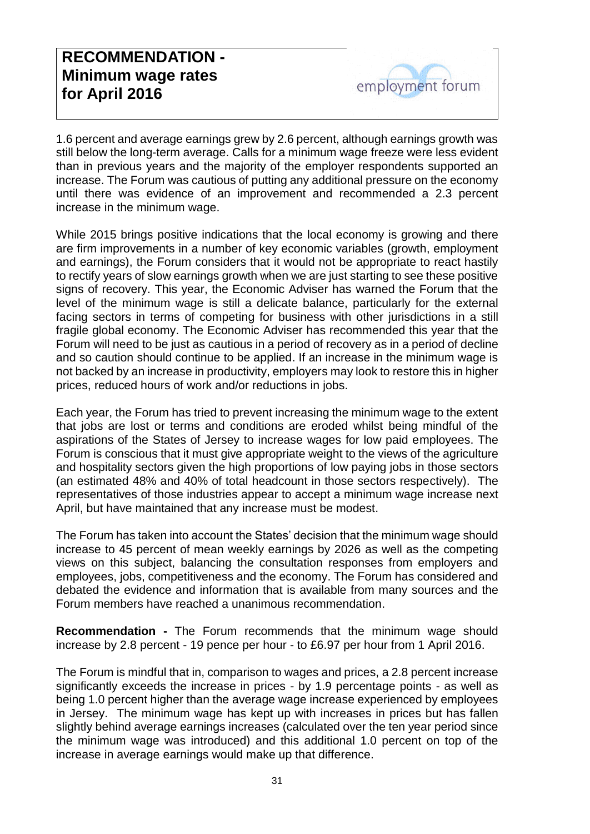1.6 percent and average earnings grew by 2.6 percent, although earnings growth was still below the long-term average. Calls for a minimum wage freeze were less evident than in previous years and the majority of the employer respondents supported an increase. The Forum was cautious of putting any additional pressure on the economy until there was evidence of an improvement and recommended a 2.3 percent increase in the minimum wage.

While 2015 brings positive indications that the local economy is growing and there are firm improvements in a number of key economic variables (growth, employment and earnings), the Forum considers that it would not be appropriate to react hastily to rectify years of slow earnings growth when we are just starting to see these positive signs of recovery. This year, the Economic Adviser has warned the Forum that the level of the minimum wage is still a delicate balance, particularly for the external facing sectors in terms of competing for business with other jurisdictions in a still fragile global economy. The Economic Adviser has recommended this year that the Forum will need to be just as cautious in a period of recovery as in a period of decline and so caution should continue to be applied. If an increase in the minimum wage is not backed by an increase in productivity, employers may look to restore this in higher prices, reduced hours of work and/or reductions in jobs.

Each year, the Forum has tried to prevent increasing the minimum wage to the extent that jobs are lost or terms and conditions are eroded whilst being mindful of the aspirations of the States of Jersey to increase wages for low paid employees. The Forum is conscious that it must give appropriate weight to the views of the agriculture and hospitality sectors given the high proportions of low paying jobs in those sectors (an estimated 48% and 40% of total headcount in those sectors respectively). The representatives of those industries appear to accept a minimum wage increase next April, but have maintained that any increase must be modest.

The Forum has taken into account the States' decision that the minimum wage should increase to 45 percent of mean weekly earnings by 2026 as well as the competing views on this subject, balancing the consultation responses from employers and employees, jobs, competitiveness and the economy. The Forum has considered and debated the evidence and information that is available from many sources and the Forum members have reached a unanimous recommendation.

**Recommendation -** The Forum recommends that the minimum wage should increase by 2.8 percent - 19 pence per hour - to £6.97 per hour from 1 April 2016.

The Forum is mindful that in, comparison to wages and prices, a 2.8 percent increase significantly exceeds the increase in prices - by 1.9 percentage points - as well as being 1.0 percent higher than the average wage increase experienced by employees in Jersey. The minimum wage has kept up with increases in prices but has fallen slightly behind average earnings increases (calculated over the ten year period since the minimum wage was introduced) and this additional 1.0 percent on top of the increase in average earnings would make up that difference.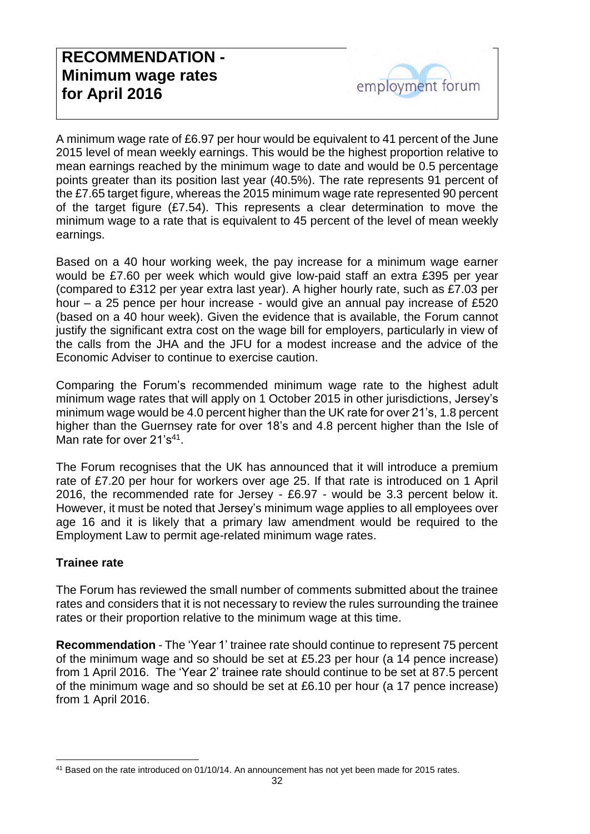A minimum wage rate of £6.97 per hour would be equivalent to 41 percent of the June 2015 level of mean weekly earnings. This would be the highest proportion relative to mean earnings reached by the minimum wage to date and would be 0.5 percentage points greater than its position last year (40.5%). The rate represents 91 percent of the £7.65 target figure, whereas the 2015 minimum wage rate represented 90 percent of the target figure (£7.54). This represents a clear determination to move the minimum wage to a rate that is equivalent to 45 percent of the level of mean weekly earnings.

Based on a 40 hour working week, the pay increase for a minimum wage earner would be £7.60 per week which would give low-paid staff an extra £395 per year (compared to £312 per year extra last year). A higher hourly rate, such as £7.03 per hour – a 25 pence per hour increase - would give an annual pay increase of £520 (based on a 40 hour week). Given the evidence that is available, the Forum cannot justify the significant extra cost on the wage bill for employers, particularly in view of the calls from the JHA and the JFU for a modest increase and the advice of the Economic Adviser to continue to exercise caution.

Comparing the Forum's recommended minimum wage rate to the highest adult minimum wage rates that will apply on 1 October 2015 in other jurisdictions, Jersey's minimum wage would be 4.0 percent higher than the UK rate for over 21's, 1.8 percent higher than the Guernsey rate for over 18's and 4.8 percent higher than the Isle of Man rate for over 21's<sup>41</sup>.

The Forum recognises that the UK has announced that it will introduce a premium rate of £7.20 per hour for workers over age 25. If that rate is introduced on 1 April 2016, the recommended rate for Jersey - £6.97 - would be 3.3 percent below it. However, it must be noted that Jersey's minimum wage applies to all employees over age 16 and it is likely that a primary law amendment would be required to the Employment Law to permit age-related minimum wage rates.

#### **Trainee rate**

The Forum has reviewed the small number of comments submitted about the trainee rates and considers that it is not necessary to review the rules surrounding the trainee rates or their proportion relative to the minimum wage at this time.

**Recommendation** - The 'Year 1' trainee rate should continue to represent 75 percent of the minimum wage and so should be set at £5.23 per hour (a 14 pence increase) from 1 April 2016. The 'Year 2' trainee rate should continue to be set at 87.5 percent of the minimum wage and so should be set at £6.10 per hour (a 17 pence increase) from 1 April 2016.

<sup>-</sup><sup>41</sup> Based on the rate introduced on 01/10/14. An announcement has not yet been made for 2015 rates.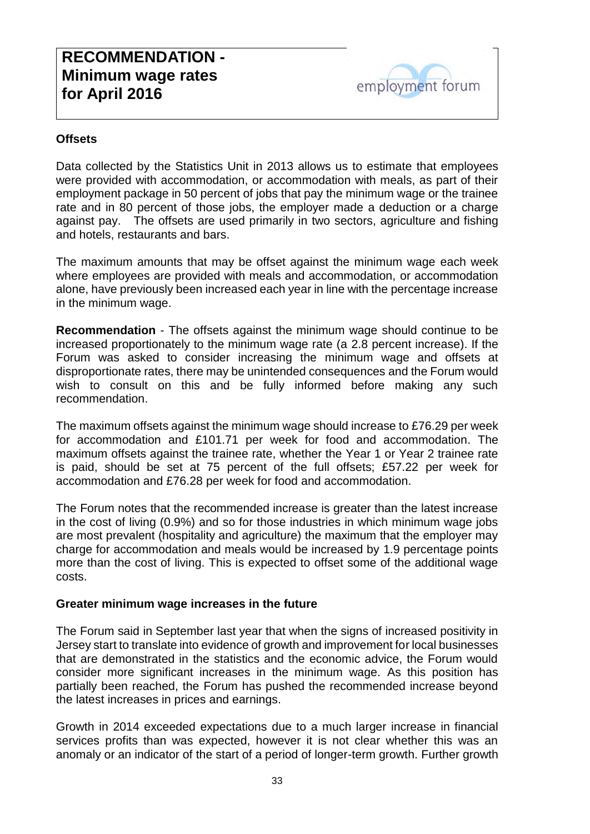#### **Offsets**

Data collected by the Statistics Unit in 2013 allows us to estimate that employees were provided with accommodation, or accommodation with meals, as part of their employment package in 50 percent of jobs that pay the minimum wage or the trainee rate and in 80 percent of those jobs, the employer made a deduction or a charge against pay. The offsets are used primarily in two sectors, agriculture and fishing and hotels, restaurants and bars.

The maximum amounts that may be offset against the minimum wage each week where employees are provided with meals and accommodation, or accommodation alone, have previously been increased each year in line with the percentage increase in the minimum wage.

**Recommendation** - The offsets against the minimum wage should continue to be increased proportionately to the minimum wage rate (a 2.8 percent increase). If the Forum was asked to consider increasing the minimum wage and offsets at disproportionate rates, there may be unintended consequences and the Forum would wish to consult on this and be fully informed before making any such recommendation.

The maximum offsets against the minimum wage should increase to £76.29 per week for accommodation and £101.71 per week for food and accommodation. The maximum offsets against the trainee rate, whether the Year 1 or Year 2 trainee rate is paid, should be set at 75 percent of the full offsets; £57.22 per week for accommodation and £76.28 per week for food and accommodation.

The Forum notes that the recommended increase is greater than the latest increase in the cost of living (0.9%) and so for those industries in which minimum wage jobs are most prevalent (hospitality and agriculture) the maximum that the employer may charge for accommodation and meals would be increased by 1.9 percentage points more than the cost of living. This is expected to offset some of the additional wage costs.

#### **Greater minimum wage increases in the future**

The Forum said in September last year that when the signs of increased positivity in Jersey start to translate into evidence of growth and improvement for local businesses that are demonstrated in the statistics and the economic advice, the Forum would consider more significant increases in the minimum wage. As this position has partially been reached, the Forum has pushed the recommended increase beyond the latest increases in prices and earnings.

Growth in 2014 exceeded expectations due to a much larger increase in financial services profits than was expected, however it is not clear whether this was an anomaly or an indicator of the start of a period of longer-term growth. Further growth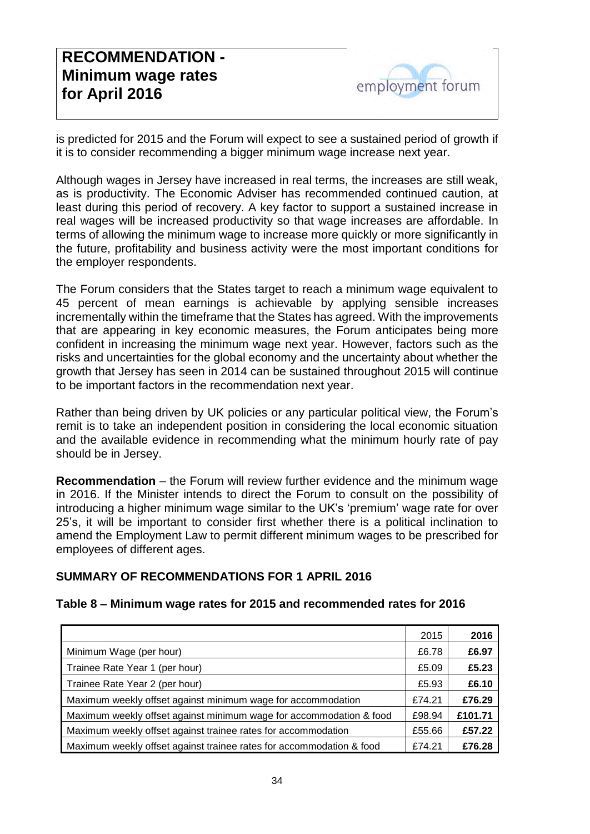is predicted for 2015 and the Forum will expect to see a sustained period of growth if it is to consider recommending a bigger minimum wage increase next year.

Although wages in Jersey have increased in real terms, the increases are still weak, as is productivity. The Economic Adviser has recommended continued caution, at least during this period of recovery. A key factor to support a sustained increase in real wages will be increased productivity so that wage increases are affordable. In terms of allowing the minimum wage to increase more quickly or more significantly in the future, profitability and business activity were the most important conditions for the employer respondents.

The Forum considers that the States target to reach a minimum wage equivalent to 45 percent of mean earnings is achievable by applying sensible increases incrementally within the timeframe that the States has agreed. With the improvements that are appearing in key economic measures, the Forum anticipates being more confident in increasing the minimum wage next year. However, factors such as the risks and uncertainties for the global economy and the uncertainty about whether the growth that Jersey has seen in 2014 can be sustained throughout 2015 will continue to be important factors in the recommendation next year.

Rather than being driven by UK policies or any particular political view, the Forum's remit is to take an independent position in considering the local economic situation and the available evidence in recommending what the minimum hourly rate of pay should be in Jersey.

**Recommendation** – the Forum will review further evidence and the minimum wage in 2016. If the Minister intends to direct the Forum to consult on the possibility of introducing a higher minimum wage similar to the UK's 'premium' wage rate for over 25's, it will be important to consider first whether there is a political inclination to amend the Employment Law to permit different minimum wages to be prescribed for employees of different ages.

#### **SUMMARY OF RECOMMENDATIONS FOR 1 APRIL 2016**

#### **Table 8 – Minimum wage rates for 2015 and recommended rates for 2016**

|                                                                      | 2015   | 2016    |
|----------------------------------------------------------------------|--------|---------|
| Minimum Wage (per hour)                                              | £6.78  | £6.97   |
| Trainee Rate Year 1 (per hour)                                       | £5.09  | £5.23   |
| Trainee Rate Year 2 (per hour)                                       | £5.93  | £6.10   |
| Maximum weekly offset against minimum wage for accommodation         | £74.21 | £76.29  |
| Maximum weekly offset against minimum wage for accommodation & food  | £98.94 | £101.71 |
| Maximum weekly offset against trainee rates for accommodation        | £55.66 | £57.22  |
| Maximum weekly offset against trainee rates for accommodation & food | £74.21 | £76.28  |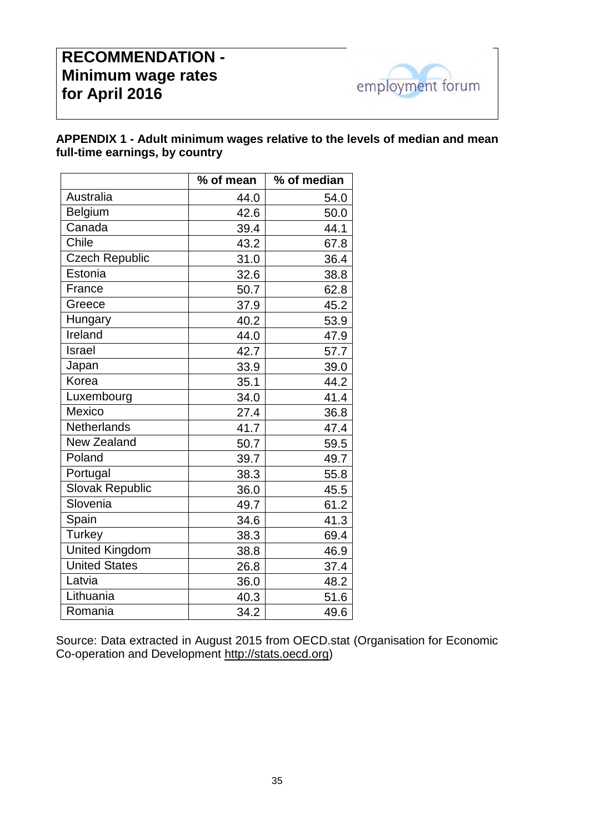# **RECOMMENDATION - Minimum wage rates for April 2016**



#### **APPENDIX 1 - Adult minimum wages relative to the levels of median and mean full-time earnings, by country**

|                       | % of mean | % of median |
|-----------------------|-----------|-------------|
| Australia             | 44.0      | 54.0        |
| Belgium               | 42.6      | 50.0        |
| Canada                | 39.4      | 44.1        |
| Chile                 | 43.2      | 67.8        |
| <b>Czech Republic</b> | 31.0      | 36.4        |
| Estonia               | 32.6      | 38.8        |
| France                | 50.7      | 62.8        |
| Greece                | 37.9      | 45.2        |
| Hungary               | 40.2      | 53.9        |
| Ireland               | 44.0      | 47.9        |
| Israel                | 42.7      | 57.7        |
| Japan                 | 33.9      | 39.0        |
| Korea                 | 35.1      | 44.2        |
| Luxembourg            | 34.0      | 41.4        |
| Mexico                | 27.4      | 36.8        |
| Netherlands           | 41.7      | 47.4        |
| <b>New Zealand</b>    | 50.7      | 59.5        |
| Poland                | 39.7      | 49.7        |
| Portugal              | 38.3      | 55.8        |
| Slovak Republic       | 36.0      | 45.5        |
| Slovenia              | 49.7      | 61.2        |
| Spain                 | 34.6      | 41.3        |
| <b>Turkey</b>         | 38.3      | 69.4        |
| <b>United Kingdom</b> | 38.8      | 46.9        |
| <b>United States</b>  | 26.8      | 37.4        |
| Latvia                | 36.0      | 48.2        |
| Lithuania             | 40.3      | 51.6        |
| Romania               | 34.2      | 49.6        |

Source: Data extracted in August 2015 from OECD.stat (Organisation for Economic Co-operation and Development [http://stats.oecd.org\)](http://stats.oecd.org/)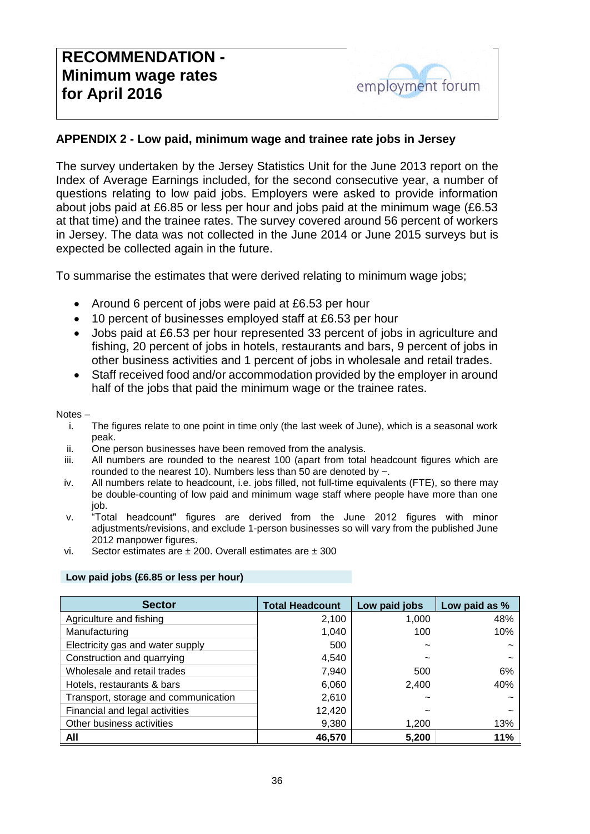

#### **APPENDIX 2 - Low paid, minimum wage and trainee rate jobs in Jersey**

The survey undertaken by the Jersey Statistics Unit for the June 2013 report on the Index of Average Earnings included, for the second consecutive year, a number of questions relating to low paid jobs. Employers were asked to provide information about jobs paid at £6.85 or less per hour and jobs paid at the minimum wage (£6.53 at that time) and the trainee rates. The survey covered around 56 percent of workers in Jersey. The data was not collected in the June 2014 or June 2015 surveys but is expected be collected again in the future.

To summarise the estimates that were derived relating to minimum wage jobs;

- Around 6 percent of jobs were paid at £6.53 per hour
- 10 percent of businesses employed staff at £6.53 per hour
- Jobs paid at £6.53 per hour represented 33 percent of jobs in agriculture and fishing, 20 percent of jobs in hotels, restaurants and bars, 9 percent of jobs in other business activities and 1 percent of jobs in wholesale and retail trades.
- Staff received food and/or accommodation provided by the employer in around half of the jobs that paid the minimum wage or the trainee rates.

#### Notes –

- i. The figures relate to one point in time only (the last week of June), which is a seasonal work peak.
- ii. One person businesses have been removed from the analysis.
- iii. All numbers are rounded to the nearest 100 (apart from total headcount figures which are rounded to the nearest 10). Numbers less than 50 are denoted by  $\sim$ .
- iv. All numbers relate to headcount, i.e. jobs filled, not full-time equivalents (FTE), so there may be double-counting of low paid and minimum wage staff where people have more than one job.
- v. "Total headcount" figures are derived from the June 2012 figures with minor adjustments/revisions, and exclude 1-person businesses so will vary from the published June 2012 manpower figures.
- vi. Sector estimates are ± 200. Overall estimates are ± 300

#### **Low paid jobs (£6.85 or less per hour)**

| <b>Sector</b>                        | <b>Total Headcount</b> | Low paid jobs | Low paid as % |
|--------------------------------------|------------------------|---------------|---------------|
| Agriculture and fishing              | 2,100                  | 1,000         | 48%           |
| Manufacturing                        | 1,040                  | 100           | 10%           |
| Electricity gas and water supply     | 500                    |               |               |
| Construction and quarrying           | 4,540                  |               |               |
| Wholesale and retail trades          | 7,940                  | 500           | 6%            |
| Hotels, restaurants & bars           | 6,060                  | 2,400         | 40%           |
| Transport, storage and communication | 2,610                  |               |               |
| Financial and legal activities       | 12,420                 |               |               |
| Other business activities            | 9,380                  | 1,200         | 13%           |
| All                                  | 46,570                 | 5,200         | 11%           |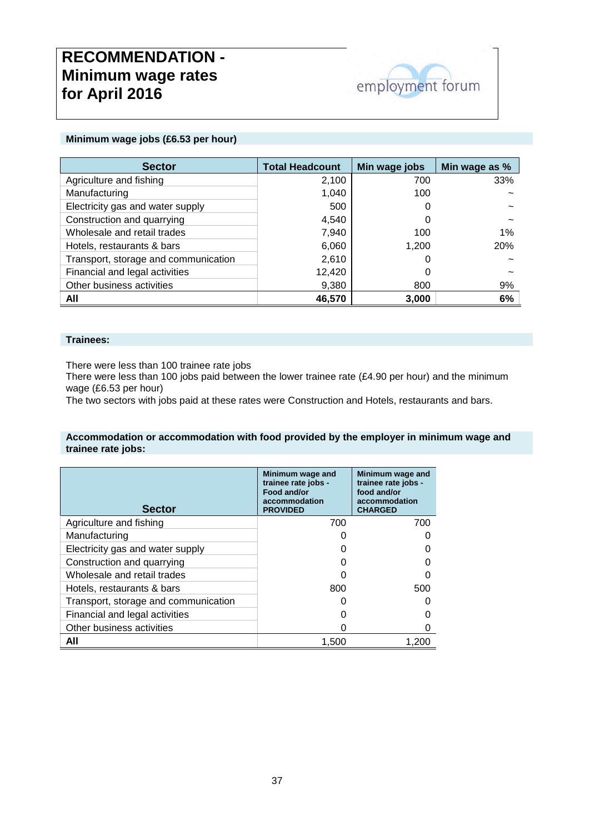# **RECOMMENDATION - Minimum wage rates for April 2016**



#### **Minimum wage jobs (£6.53 per hour)**

| <b>Sector</b>                        | <b>Total Headcount</b> | Min wage jobs | Min wage as % |
|--------------------------------------|------------------------|---------------|---------------|
| Agriculture and fishing              | 2,100                  | 700           | 33%           |
| Manufacturing                        | 1,040                  | 100           |               |
| Electricity gas and water supply     | 500                    |               |               |
| Construction and quarrying           | 4,540                  |               |               |
| Wholesale and retail trades          | 7,940                  | 100           | $1\%$         |
| Hotels, restaurants & bars           | 6,060                  | 1,200         | <b>20%</b>    |
| Transport, storage and communication | 2,610                  |               |               |
| Financial and legal activities       | 12,420                 |               |               |
| Other business activities            | 9,380                  | 800           | 9%            |
| All                                  | 46,570                 | 3,000         | 6%            |

#### **Trainees:**

There were less than 100 trainee rate jobs

There were less than 100 jobs paid between the lower trainee rate (£4.90 per hour) and the minimum wage (£6.53 per hour)

The two sectors with jobs paid at these rates were Construction and Hotels, restaurants and bars.

#### **Accommodation or accommodation with food provided by the employer in minimum wage and trainee rate jobs:**

| <b>Sector</b>                        | Minimum wage and<br>trainee rate jobs -<br>Food and/or<br>accommodation<br><b>PROVIDED</b> | Minimum wage and<br>trainee rate jobs -<br>food and/or<br>accommodation<br><b>CHARGED</b> |
|--------------------------------------|--------------------------------------------------------------------------------------------|-------------------------------------------------------------------------------------------|
| Agriculture and fishing              | 700                                                                                        | 700                                                                                       |
| Manufacturing                        |                                                                                            |                                                                                           |
| Electricity gas and water supply     |                                                                                            |                                                                                           |
| Construction and quarrying           |                                                                                            |                                                                                           |
| Wholesale and retail trades          |                                                                                            |                                                                                           |
| Hotels, restaurants & bars           | 800                                                                                        | 500                                                                                       |
| Transport, storage and communication |                                                                                            |                                                                                           |
| Financial and legal activities       |                                                                                            |                                                                                           |
| Other business activities            |                                                                                            |                                                                                           |
| All                                  | 1.500                                                                                      | 1.20                                                                                      |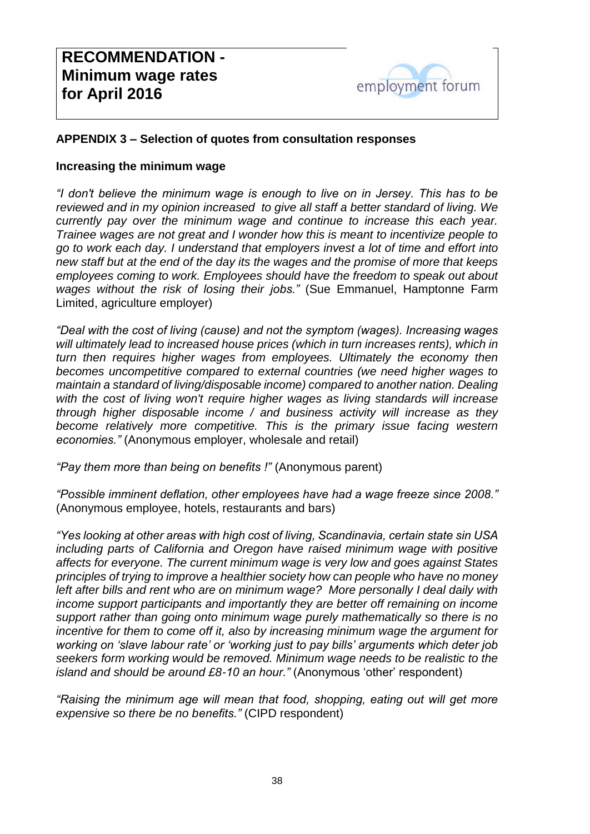#### **APPENDIX 3 – Selection of quotes from consultation responses**

#### **Increasing the minimum wage**

*"I don't believe the minimum wage is enough to live on in Jersey. This has to be reviewed and in my opinion increased to give all staff a better standard of living. We currently pay over the minimum wage and continue to increase this each year. Trainee wages are not great and I wonder how this is meant to incentivize people to go to work each day. I understand that employers invest a lot of time and effort into new staff but at the end of the day its the wages and the promise of more that keeps employees coming to work. Employees should have the freedom to speak out about wages without the risk of losing their jobs."* (Sue Emmanuel, Hamptonne Farm Limited, agriculture employer)

*"Deal with the cost of living (cause) and not the symptom (wages). Increasing wages will ultimately lead to increased house prices (which in turn increases rents), which in turn then requires higher wages from employees. Ultimately the economy then becomes uncompetitive compared to external countries (we need higher wages to maintain a standard of living/disposable income) compared to another nation. Dealing*  with the cost of living won't require higher wages as living standards will increase *through higher disposable income / and business activity will increase as they become relatively more competitive. This is the primary issue facing western economies."* (Anonymous employer, wholesale and retail)

*"Pay them more than being on benefits !"* (Anonymous parent)

*"Possible imminent deflation, other employees have had a wage freeze since 2008."* (Anonymous employee, hotels, restaurants and bars)

*"Yes looking at other areas with high cost of living, Scandinavia, certain state sin USA including parts of California and Oregon have raised minimum wage with positive affects for everyone. The current minimum wage is very low and goes against States principles of trying to improve a healthier society how can people who have no money left after bills and rent who are on minimum wage? More personally I deal daily with income support participants and importantly they are better off remaining on income support rather than going onto minimum wage purely mathematically so there is no incentive for them to come off it, also by increasing minimum wage the argument for working on 'slave labour rate' or 'working just to pay bills' arguments which deter job seekers form working would be removed. Minimum wage needs to be realistic to the island and should be around £8-10 an hour."* (Anonymous 'other' respondent)

*"Raising the minimum age will mean that food, shopping, eating out will get more expensive so there be no benefits."* (CIPD respondent)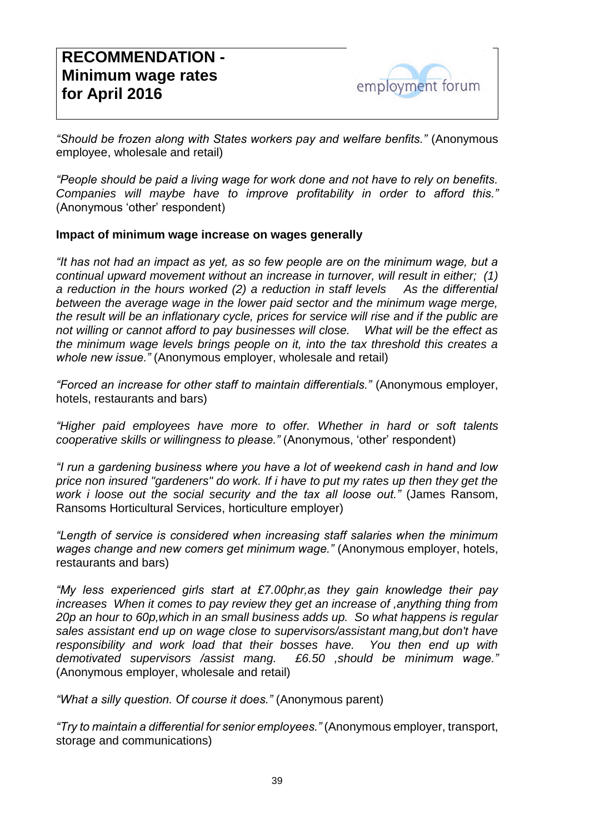*"Should be frozen along with States workers pay and welfare benfits."* (Anonymous employee, wholesale and retail)

*"People should be paid a living wage for work done and not have to rely on benefits. Companies will maybe have to improve profitability in order to afford this."* (Anonymous 'other' respondent)

#### **Impact of minimum wage increase on wages generally**

*"It has not had an impact as yet, as so few people are on the minimum wage, but a continual upward movement without an increase in turnover, will result in either; (1) a reduction in the hours worked (2) a reduction in staff levels As the differential*  between the average wage in the lower paid sector and the minimum wage merge, *the result will be an inflationary cycle, prices for service will rise and if the public are not willing or cannot afford to pay businesses will close. What will be the effect as the minimum wage levels brings people on it, into the tax threshold this creates a whole new issue."* (Anonymous employer, wholesale and retail)

*"Forced an increase for other staff to maintain differentials."* (Anonymous employer, hotels, restaurants and bars)

*"Higher paid employees have more to offer. Whether in hard or soft talents cooperative skills or willingness to please."* (Anonymous, 'other' respondent)

*"I run a gardening business where you have a lot of weekend cash in hand and low price non insured "gardeners" do work. If i have to put my rates up then they get the work i loose out the social security and the tax all loose out."* (James Ransom, Ransoms Horticultural Services, horticulture employer)

*"Length of service is considered when increasing staff salaries when the minimum wages change and new comers get minimum wage."* (Anonymous employer, hotels, restaurants and bars)

*"My less experienced girls start at £7.00phr,as they gain knowledge their pay increases* When it comes to pay review they get an increase of , anything thing from *20p an hour to 60p,which in an small business adds up. So what happens is regular sales assistant end up on wage close to supervisors/assistant mang,but don't have responsibility and work load that their bosses have. You then end up with demotivated supervisors /assist mang. £6.50 ,should be minimum wage."* (Anonymous employer, wholesale and retail)

*"What a silly question. Of course it does."* (Anonymous parent)

*"Try to maintain a differential for senior employees."* (Anonymous employer, transport, storage and communications)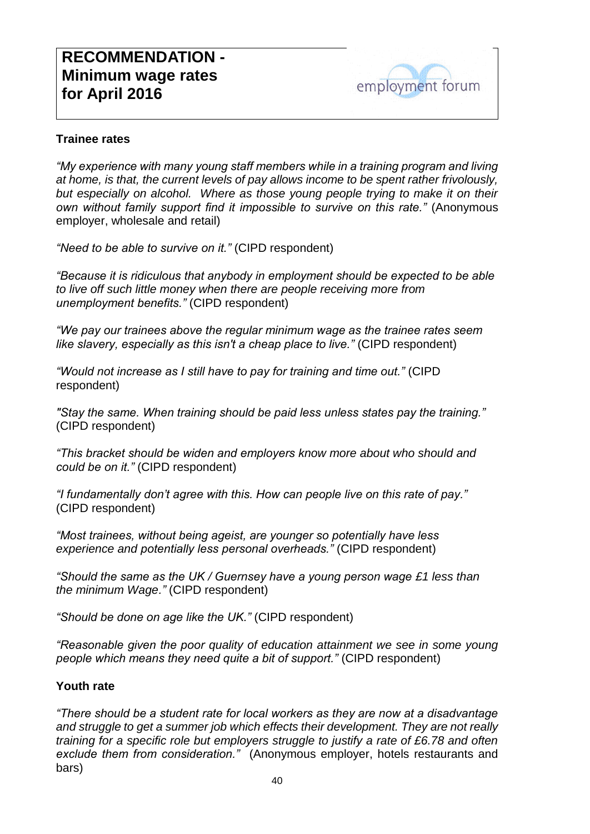#### **Trainee rates**

*"My experience with many young staff members while in a training program and living at home, is that, the current levels of pay allows income to be spent rather frivolously, but especially on alcohol. Where as those young people trying to make it on their own without family support find it impossible to survive on this rate."* (Anonymous employer, wholesale and retail)

*"Need to be able to survive on it."* (CIPD respondent)

*"Because it is ridiculous that anybody in employment should be expected to be able to live off such little money when there are people receiving more from unemployment benefits."* (CIPD respondent)

*"We pay our trainees above the regular minimum wage as the trainee rates seem like slavery, especially as this isn't a cheap place to live."* (CIPD respondent)

*"Would not increase as I still have to pay for training and time out."* (CIPD respondent)

*"Stay the same. When training should be paid less unless states pay the training."*  (CIPD respondent)

*"This bracket should be widen and employers know more about who should and could be on it."* (CIPD respondent)

*"I fundamentally don't agree with this. How can people live on this rate of pay."* (CIPD respondent)

*"Most trainees, without being ageist, are younger so potentially have less experience and potentially less personal overheads."* (CIPD respondent)

*"Should the same as the UK / Guernsey have a young person wage £1 less than the minimum Wage."* (CIPD respondent)

*"Should be done on age like the UK."* (CIPD respondent)

*"Reasonable given the poor quality of education attainment we see in some young people which means they need quite a bit of support."* (CIPD respondent)

#### **Youth rate**

*"There should be a student rate for local workers as they are now at a disadvantage and struggle to get a summer job which effects their development. They are not really training for a specific role but employers struggle to justify a rate of £6.78 and often exclude them from consideration."* (Anonymous employer, hotels restaurants and bars)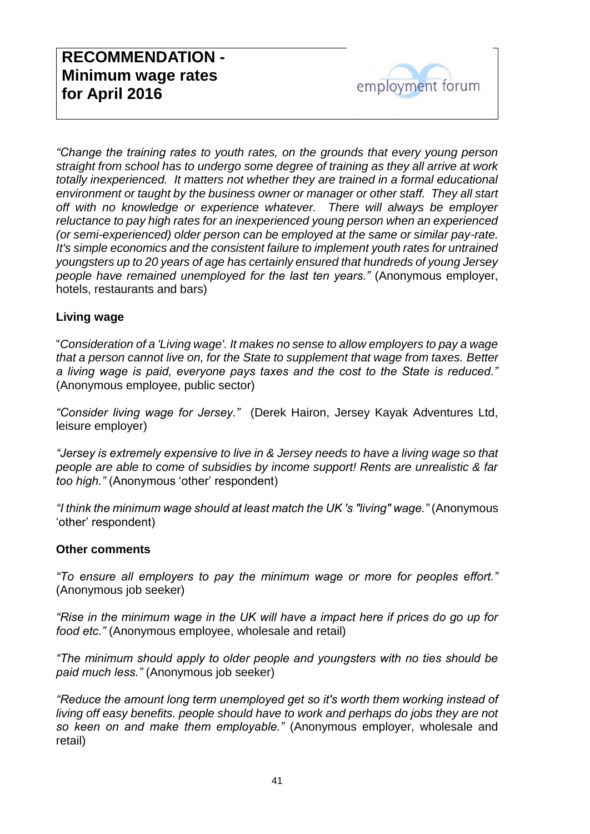*"Change the training rates to youth rates, on the grounds that every young person straight from school has to undergo some degree of training as they all arrive at work*  totally inexperienced. It matters not whether they are trained in a formal educational *environment or taught by the business owner or manager or other staff. They all start off with no knowledge or experience whatever. There will always be employer reluctance to pay high rates for an inexperienced young person when an experienced (or semi-experienced) older person can be employed at the same or similar pay-rate. It's simple economics and the consistent failure to implement youth rates for untrained youngsters up to 20 years of age has certainly ensured that hundreds of young Jersey people have remained unemployed for the last ten years."* (Anonymous employer, hotels, restaurants and bars)

### **Living wage**

"*Consideration of a 'Living wage'. It makes no sense to allow employers to pay a wage that a person cannot live on, for the State to supplement that wage from taxes. Better a living wage is paid, everyone pays taxes and the cost to the State is reduced."* (Anonymous employee, public sector)

*"Consider living wage for Jersey."* (Derek Hairon, Jersey Kayak Adventures Ltd, leisure employer)

*"Jersey is extremely expensive to live in & Jersey needs to have a living wage so that people are able to come of subsidies by income support! Rents are unrealistic & far too high."* (Anonymous 'other' respondent)

*"I think the minimum wage should at least match the UK 's "living" wage."* (Anonymous 'other' respondent)

#### **Other comments**

*"To ensure all employers to pay the minimum wage or more for peoples effort."* (Anonymous job seeker)

*"Rise in the minimum wage in the UK will have a impact here if prices do go up for food etc."* (Anonymous employee, wholesale and retail)

*"The minimum should apply to older people and youngsters with no ties should be paid much less."* (Anonymous job seeker)

*"Reduce the amount long term unemployed get so it's worth them working instead of living off easy benefits. people should have to work and perhaps do jobs they are not so keen on and make them employable."* (Anonymous employer, wholesale and retail)